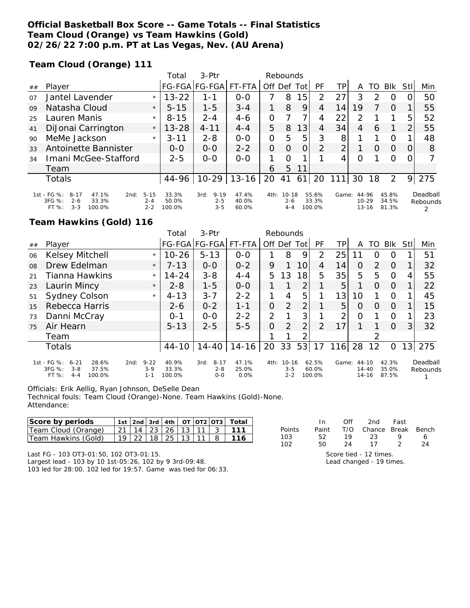### **Official Basketball Box Score -- Game Totals -- Final Statistics Team Cloud (Orange) vs Team Hawkins (Gold) 02/26/22 7:00 p.m. PT at Las Vegas, Nev. (AU Arena)**

**Team Cloud (Orange) 111**

|    |                                                                            |                     | Total          | $3-Ptr$                     |                |                | Rebounds             |      |                |       |                    |               |                |                |                      |
|----|----------------------------------------------------------------------------|---------------------|----------------|-----------------------------|----------------|----------------|----------------------|------|----------------|-------|--------------------|---------------|----------------|----------------|----------------------|
| ## | Player                                                                     |                     |                | FG-FGA FG-FGA               | FT-FTA         | Off Def        |                      | Totl | PF             | TP    | A                  | TO            | <b>BIK</b>     | Stll           | Min                  |
| 07 | Jantel Lavender                                                            | $\star$             | $13 - 22$      | 1-1                         | $0 - 0$        |                | 8                    | 5    | $\mathcal{P}$  | 27    | 3                  | $\mathcal{P}$ | O              |                | 50                   |
| 09 | Natasha Cloud                                                              | $\star$             | $5 - 15$       | $1 - 5$                     | $3 - 4$        | 1              | 8                    | 9    | 4              | 14    | 19                 |               | $\Omega$       |                | 55                   |
| 25 | Lauren Manis                                                               | $\star$             | $8 - 15$       | $2 - 4$                     | $4 - 6$        | O              |                      |      | 4              | 22    | フ                  |               |                | 5              | 52                   |
| 41 | DiJonai Carrington                                                         | $\star$             | $13 - 28$      | $4 - 11$                    | $4 - 4$        | 5              | 8                    | 13   | 4              | 34    | 4                  | 6             |                | $\overline{2}$ | 55                   |
| 90 | MeMe Jackson                                                               | $\star$             | $3 - 11$       | $2 - 8$                     | $0 - 0$        | 0              | 5                    | 5    | 3              | 8     |                    |               | O              |                | 48                   |
| 33 | Antoinette Bannister                                                       |                     | $O-O$          | $0 - 0$                     | $2 - 2$        | $\overline{O}$ | 0                    | 0    | 2              | 2     |                    | $\Omega$      | $\Omega$       | 0              | 8                    |
| 34 | Imani McGee-Stafford                                                       |                     | $2 - 5$        | $O-O$                       | $O-O$          | 1              | $\Omega$             |      |                | 4     | $\Omega$           |               | $\Omega$       | 0              |                      |
|    | Team                                                                       |                     |                |                             |                | 6              | 5.                   | 11   |                |       |                    |               |                |                |                      |
|    | Totals                                                                     |                     | 44-96          | $10-29$                     | $13 - 16$      | 20             | 41                   | 61   | 20             | 111   | 30                 | 18            | 2              | 9              | 275                  |
|    | 1st - FG %:<br>$8 - 17$<br>47.1%<br>2nd:<br>$3FG \%$ :<br>33.3%<br>$2 - 6$ | $5 - 15$<br>$2 - 4$ | 33.3%<br>50.0% | $9 - 19$<br>3rd:<br>$2 - 5$ | 47.4%<br>40.0% | 4th:           | $10 - 18$<br>$2 - 6$ |      | 55.6%<br>33.3% | Game: | 44-96<br>$10 - 29$ |               | 45.8%<br>34.5% |                | Deadball<br>Rebounds |
|    | $FT%$ :<br>$3 - 3$<br>100.0%                                               | $2 - 2$             | 100.0%         | $3 - 5$                     | 60.0%          |                | $4 - 4$              |      | 100.0%         |       |                    | 13-16         | 81.3%          |                |                      |

#### **Team Hawkins (Gold) 116**

|    |                                                                                              |                                        | Total                    | 3-Ptr                                  |                        | Rebounds |                                 |                 |                          |       |                                 |                |                         |     |                      |
|----|----------------------------------------------------------------------------------------------|----------------------------------------|--------------------------|----------------------------------------|------------------------|----------|---------------------------------|-----------------|--------------------------|-------|---------------------------------|----------------|-------------------------|-----|----------------------|
| ## | Player                                                                                       |                                        |                          | FG-FGA FG-FGA FT-FTA                   |                        |          | Off Def                         | Totl            | PF                       | ТP    | A                               | TO             | <b>BIK</b>              | Stl | Min                  |
| 06 | Kelsey Mitchell                                                                              | $\star$                                | $10 - 26$                | $5 - 13$                               | $O - O$                |          | 8                               | 9               | 2                        | 25    | 11                              | Ω              | O                       |     | 51                   |
| O8 | Drew Edelman                                                                                 | $\star$                                | $7 - 13$                 | $0 - 0$                                | $0 - 2$                | 9        |                                 | 10              | 4                        | 14    | 0                               | $\overline{2}$ | $\Omega$                |     | 32                   |
| 21 | Tianna Hawkins                                                                               | $\star$                                | $14 - 24$                | $3 - 8$                                | $4 - 4$                | 5.       | 3                               | 18 <sub>1</sub> | 5                        | 35    | 5                               | 5              | $\Omega$                | 4   | 55                   |
| 23 | Laurin Mincy                                                                                 | $\star$                                | $2 - 8$                  | $1 - 5$                                | $0 - 0$                |          |                                 | 2               |                          | 5     |                                 | $\Omega$       | $\Omega$                |     | 22                   |
| 51 | Sydney Colson                                                                                | $\star$                                | $4 - 13$                 | $3 - 7$                                | $2 - 2$                |          | 4                               | 5               |                          | 13    | 10                              |                | $\Omega$                |     | 45                   |
| 15 | Rebecca Harris                                                                               |                                        | $2 - 6$                  | $0 - 2$                                | $1 - 1$                | 0        | $\overline{2}$                  | $\overline{2}$  |                          | 5     | O                               | $\Omega$       | $\Omega$                |     | 15                   |
| 73 | Danni McCray                                                                                 |                                        | $0 - 1$                  | $O-O$                                  | $2 - 2$                | 2        | 1                               | 3               | 1                        | ⌒     | 0                               |                | $\Omega$                |     | 23                   |
| 75 | Air Hearn                                                                                    |                                        | $5 - 13$                 | $2 - 5$                                | $5 - 5$                | O        | $\overline{2}$                  | $\overline{2}$  | $\overline{2}$           | 17    |                                 |                | $\Omega$                | 3   | 32                   |
|    | Team                                                                                         |                                        |                          |                                        |                        |          | ◀                               | っ               |                          |       |                                 | 2              |                         |     |                      |
|    | <b>Totals</b>                                                                                |                                        | 44-10                    | $14 - 40$                              | 14-16                  | 20       | 33                              | 53              | 17                       | 116   | 28                              | 12             | 0                       | 13  | 275                  |
|    | 1st - FG %:<br>$6 - 21$<br>28.6%<br>3FG %:<br>$3 - 8$<br>37.5%<br>FT %:<br>$4 - 4$<br>100.0% | $9 - 22$<br>2nd:<br>$3 - 9$<br>$1 - 1$ | 40.9%<br>33.3%<br>100.0% | $8 - 17$<br>3rd:<br>$2 - 8$<br>$0 - 0$ | 47.1%<br>25.0%<br>0.0% | 4th:     | $10 - 16$<br>$3 - 5$<br>$2 - 2$ |                 | 62.5%<br>60.0%<br>100.0% | Game: | 44-10<br>$14 - 40$<br>$14 - 16$ |                | 42.3%<br>35.0%<br>87.5% |     | Deadball<br>Rebounds |

Officials: Erik Aellig, Ryan Johnson, DeSelle Dean

Technical fouls: Team Cloud (Orange)-None. Team Hawkins (Gold)-None. Attendance:

| Score by periods    |                 | 1st l2nd l3rd |     |    |     |    | I 4th   OT   OT2   OT3   Total |             |       | ገf | 2nd    | Fast  |       |
|---------------------|-----------------|---------------|-----|----|-----|----|--------------------------------|-------------|-------|----|--------|-------|-------|
| Team Cloud (Orange) | 21 <sub>1</sub> | -14           | ົດລ | 26 | 1.2 | 11 | 111                            | Points      | Paint |    | Chance | Break | Bench |
| Team Hawkins (Gold) | 19 I            | ററ            | 18  | 25 | 1 ລ |    |                                | 103         |       |    |        |       |       |
|                     |                 |               |     |    |     |    |                                | $1^{\circ}$ |       |    |        |       |       |

Last FG - 103 OT3-01:50, 102 OT3-01:15.

Largest lead - 103 by 10 1st-05:26, 102 by 9 3rd-09:48. 103 led for 28:00. 102 led for 19:57. Game was tied for 06:33.

|        | In.   |    | UIT ZNO FAST                                                                             |               |    |
|--------|-------|----|------------------------------------------------------------------------------------------|---------------|----|
| Points | Paint |    | T/O Chance Break Bencl                                                                   |               |    |
| 103    | 52.   | 19 | -23                                                                                      |               |    |
| 102    | 50.   | 24 | - 17                                                                                     | $\mathcal{L}$ | 24 |
|        |       |    | Score tied - 12 times.<br>$1$ and abong $\sim$ $\sim$ $\sim$ $\sim$ $\sim$ $\sim$ $\sim$ |               |    |

Lead changed - 19 times.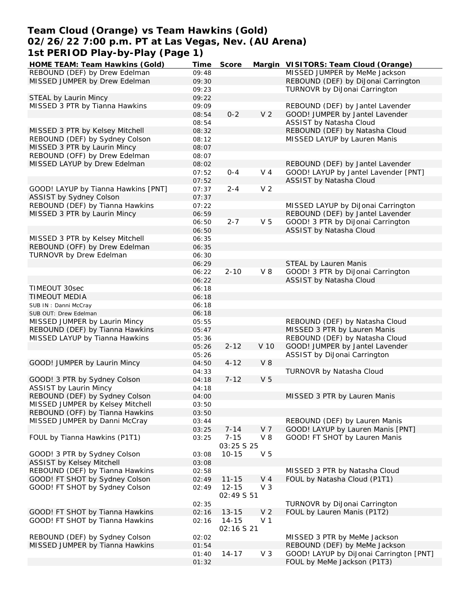# **Team Cloud (Orange) vs Team Hawkins (Gold) 02/26/22 7:00 p.m. PT at Las Vegas, Nev. (AU Arena) 1st PERIOD Play-by-Play (Page 1)**

| $\overline{1}$ st FLNTOD FIAY-DY-FIAY (FAYETI) |       |                   |                |                                         |
|------------------------------------------------|-------|-------------------|----------------|-----------------------------------------|
| HOME TEAM: Team Hawkins (Gold)                 | Time  | Score             |                | Margin VISITORS: Team Cloud (Orange)    |
| REBOUND (DEF) by Drew Edelman                  | 09:48 |                   |                | MISSED JUMPER by MeMe Jackson           |
| MISSED JUMPER by Drew Edelman                  | 09:30 |                   |                | REBOUND (DEF) by DiJonai Carrington     |
|                                                | 09:23 |                   |                | TURNOVR by DiJonai Carrington           |
| STEAL by Laurin Mincy                          | 09:22 |                   |                |                                         |
| MISSED 3 PTR by Tianna Hawkins                 | 09:09 |                   |                | REBOUND (DEF) by Jantel Lavender        |
|                                                | 08:54 | $0 - 2$           | V <sub>2</sub> | GOOD! JUMPER by Jantel Lavender         |
|                                                | 08:54 |                   |                | ASSIST by Natasha Cloud                 |
| MISSED 3 PTR by Kelsey Mitchell                | 08:32 |                   |                | REBOUND (DEF) by Natasha Cloud          |
| REBOUND (DEF) by Sydney Colson                 | 08:12 |                   |                | MISSED LAYUP by Lauren Manis            |
| MISSED 3 PTR by Laurin Mincy                   | 08:07 |                   |                |                                         |
| REBOUND (OFF) by Drew Edelman                  | 08:07 |                   |                |                                         |
| MISSED LAYUP by Drew Edelman                   | 08:02 |                   |                | REBOUND (DEF) by Jantel Lavender        |
|                                                | 07:52 | $0 - 4$           | V <sub>4</sub> | GOOD! LAYUP by Jantel Lavender [PNT]    |
|                                                | 07:52 |                   |                | ASSIST by Natasha Cloud                 |
| GOOD! LAYUP by Tianna Hawkins [PNT]            | 07:37 | $2 - 4$           | V <sub>2</sub> |                                         |
| ASSIST by Sydney Colson                        | 07:37 |                   |                |                                         |
| REBOUND (DEF) by Tianna Hawkins                | 07:22 |                   |                | MISSED LAYUP by DiJonai Carrington      |
| MISSED 3 PTR by Laurin Mincy                   | 06:59 |                   |                | REBOUND (DEF) by Jantel Lavender        |
|                                                | 06:50 | $2 - 7$           | V <sub>5</sub> | GOOD! 3 PTR by DiJonai Carrington       |
|                                                | 06:50 |                   |                | ASSIST by Natasha Cloud                 |
| MISSED 3 PTR by Kelsey Mitchell                | 06:35 |                   |                |                                         |
| REBOUND (OFF) by Drew Edelman                  | 06:35 |                   |                |                                         |
| TURNOVR by Drew Edelman                        | 06:30 |                   |                |                                         |
|                                                | 06:29 |                   |                | STEAL by Lauren Manis                   |
|                                                | 06:22 | $2 - 10$          | $V_8$          | GOOD! 3 PTR by DiJonai Carrington       |
|                                                | 06:22 |                   |                | ASSIST by Natasha Cloud                 |
| TIMEOUT 30sec                                  | 06:18 |                   |                |                                         |
| TIMEOUT MEDIA                                  | 06:18 |                   |                |                                         |
| SUB IN: Danni McCray                           | 06:18 |                   |                |                                         |
| SUB OUT: Drew Edelman                          |       |                   |                |                                         |
|                                                | 06:18 |                   |                |                                         |
| MISSED JUMPER by Laurin Mincy                  | 05:55 |                   |                | REBOUND (DEF) by Natasha Cloud          |
| REBOUND (DEF) by Tianna Hawkins                | 05:47 |                   |                | MISSED 3 PTR by Lauren Manis            |
| MISSED LAYUP by Tianna Hawkins                 | 05:36 |                   |                | REBOUND (DEF) by Natasha Cloud          |
|                                                | 05:26 | $2 - 12$          | V 10           | GOOD! JUMPER by Jantel Lavender         |
|                                                | 05:26 |                   |                | ASSIST by DiJonai Carrington            |
| GOOD! JUMPER by Laurin Mincy                   | 04:50 | $4 - 12$          | $V_8$          |                                         |
|                                                | 04:33 |                   |                | TURNOVR by Natasha Cloud                |
| GOOD! 3 PTR by Sydney Colson                   | 04:18 | $7 - 12$          | V <sub>5</sub> |                                         |
| ASSIST by Laurin Mincy                         | 04:18 |                   |                |                                         |
| REBOUND (DEF) by Sydney Colson                 | 04:00 |                   |                | MISSED 3 PTR by Lauren Manis            |
| MISSED JUMPER by Kelsey Mitchell               | 03:50 |                   |                |                                         |
| REBOUND (OFF) by Tianna Hawkins                | 03:50 |                   |                |                                         |
| MISSED JUMPER by Danni McCray                  | 03:44 |                   |                | REBOUND (DEF) by Lauren Manis           |
|                                                | 03:25 | $7 - 14$          | V <sub>7</sub> | GOOD! LAYUP by Lauren Manis [PNT]       |
| FOUL by Tianna Hawkins (P1T1)                  | 03:25 | $7 - 15$          | V8             | GOOD! FT SHOT by Lauren Manis           |
|                                                |       | <i>03:25 S 25</i> |                |                                         |
| GOOD! 3 PTR by Sydney Colson                   | 03:08 | $10 - 15$         | V <sub>5</sub> |                                         |
| ASSIST by Kelsey Mitchell                      | 03:08 |                   |                |                                         |
| REBOUND (DEF) by Tianna Hawkins                | 02:58 |                   |                | MISSED 3 PTR by Natasha Cloud           |
| GOOD! FT SHOT by Sydney Colson                 | 02:49 | $11 - 15$         | V <sub>4</sub> | FOUL by Natasha Cloud (P1T1)            |
| GOOD! FT SHOT by Sydney Colson                 | 02:49 | $12 - 15$         | $V_3$          |                                         |
|                                                |       | 02:49 \$ 51       |                |                                         |
|                                                | 02:35 |                   |                | TURNOVR by DiJonai Carrington           |
| GOOD! FT SHOT by Tianna Hawkins                | 02:16 | $13 - 15$         | V <sub>2</sub> | FOUL by Lauren Manis (P1T2)             |
| GOOD! FT SHOT by Tianna Hawkins                | 02:16 | $14 - 15$         | V <sub>1</sub> |                                         |
|                                                |       | 02:16 S 21        |                |                                         |
| REBOUND (DEF) by Sydney Colson                 | 02:02 |                   |                | MISSED 3 PTR by MeMe Jackson            |
| MISSED JUMPER by Tianna Hawkins                | 01:54 |                   |                | REBOUND (DEF) by MeMe Jackson           |
|                                                | 01:40 | $14 - 17$         | V <sub>3</sub> | GOOD! LAYUP by DiJonai Carrington [PNT] |
|                                                | 01:32 |                   |                | FOUL by MeMe Jackson (P1T3)             |
|                                                |       |                   |                |                                         |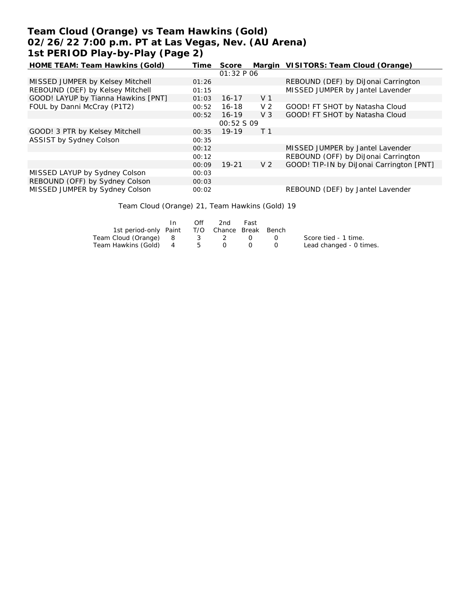# **Team Cloud (Orange) vs Team Hawkins (Gold) 02/26/22 7:00 p.m. PT at Las Vegas, Nev. (AU Arena) 1st PERIOD Play-by-Play (Page 2)**

| HOME TEAM: Team Hawkins (Gold)      | Time  | Score             |                | Margin VISITORS: Team Cloud (Orange)     |
|-------------------------------------|-------|-------------------|----------------|------------------------------------------|
|                                     |       | 01:32 P06         |                |                                          |
| MISSED JUMPER by Kelsey Mitchell    | 01:26 |                   |                | REBOUND (DEF) by DiJonai Carrington      |
| REBOUND (DEF) by Kelsey Mitchell    | 01:15 |                   |                | MISSED JUMPER by Jantel Lavender         |
| GOOD! LAYUP by Tianna Hawkins [PNT] | 01:03 | $16 - 17$         | V <sub>1</sub> |                                          |
| FOUL by Danni McCray (P1T2)         | 00:52 | $16 - 18$         | V <sub>2</sub> | GOOD! FT SHOT by Natasha Cloud           |
|                                     | 00:52 | $16 - 19$         | $V_3$          | GOOD! FT SHOT by Natasha Cloud           |
|                                     |       | <i>00:52 S 09</i> |                |                                          |
| GOOD! 3 PTR by Kelsey Mitchell      | 00:35 | $19-19$           | T <sub>1</sub> |                                          |
| ASSIST by Sydney Colson             | 00:35 |                   |                |                                          |
|                                     | 00:12 |                   |                | MISSED JUMPER by Jantel Lavender         |
|                                     | 00:12 |                   |                | REBOUND (OFF) by DiJonai Carrington      |
|                                     | 00:09 | $19 - 21$         | V <sub>2</sub> | GOOD! TIP-IN by DiJonai Carrington [PNT] |
| MISSED LAYUP by Sydney Colson       | 00:03 |                   |                |                                          |
| REBOUND (OFF) by Sydney Colson      | 00:03 |                   |                |                                          |
| MISSED JUMPER by Sydney Colson      | 00:02 |                   |                | REBOUND (DEF) by Jantel Lavender         |

Team Cloud (Orange) 21, Team Hawkins (Gold) 19

|                                              | In In | Off | 2nd | Fast |                         |
|----------------------------------------------|-------|-----|-----|------|-------------------------|
| 1st period-only Paint T/O Chance Break Bench |       |     |     |      |                         |
| Team Cloud (Orange) 8 3 2 0 0                |       |     |     |      | Score tied - 1 time.    |
| Team Hawkins (Gold) 4 5                      |       |     |     |      | Lead changed - 0 times. |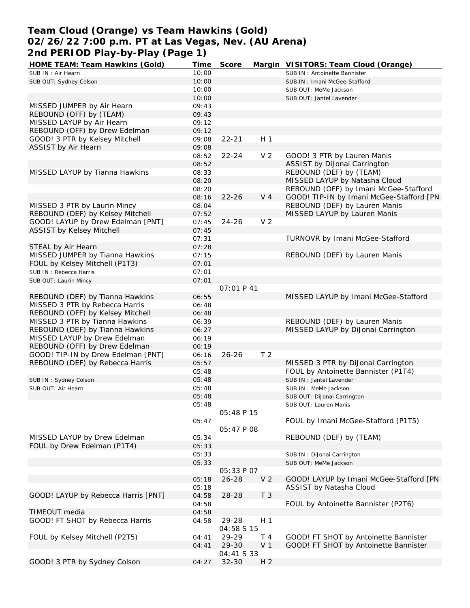# **Team Cloud (Orange) vs Team Hawkins (Gold) 02/26/22 7:00 p.m. PT at Las Vegas, Nev. (AU Arena) 2nd PERIOD Play-by-Play (Page 1)**

| HOME TEAM: Team Hawkins (Gold)      | Time  | Score             |                | Margin VISITORS: Team Cloud (Orange)     |
|-------------------------------------|-------|-------------------|----------------|------------------------------------------|
| SUB IN: Air Hearn                   | 10:00 |                   |                | SUB IN: Antoinette Bannister             |
| SUB OUT: Sydney Colson              | 10:00 |                   |                | SUB IN: Imani McGee-Stafford             |
|                                     | 10:00 |                   |                | SUB OUT: MeMe Jackson                    |
|                                     | 10:00 |                   |                | SUB OUT: Jantel Lavender                 |
| MISSED JUMPER by Air Hearn          | 09:43 |                   |                |                                          |
| REBOUND (OFF) by (TEAM)             | 09:43 |                   |                |                                          |
| MISSED LAYUP by Air Hearn           |       |                   |                |                                          |
|                                     | 09:12 |                   |                |                                          |
| REBOUND (OFF) by Drew Edelman       | 09:12 |                   |                |                                          |
| GOOD! 3 PTR by Kelsey Mitchell      | 09:08 | $22 - 21$         | H <sub>1</sub> |                                          |
| ASSIST by Air Hearn                 | 09:08 |                   |                |                                          |
|                                     | 08:52 | $22 - 24$         | V <sub>2</sub> | GOOD! 3 PTR by Lauren Manis              |
|                                     | 08:52 |                   |                | ASSIST by DiJonai Carrington             |
| MISSED LAYUP by Tianna Hawkins      | 08:33 |                   |                | REBOUND (DEF) by (TEAM)                  |
|                                     | 08:20 |                   |                | MISSED LAYUP by Natasha Cloud            |
|                                     | 08:20 |                   |                | REBOUND (OFF) by Imani McGee-Stafford    |
|                                     | 08:16 | $22 - 26$         | V <sub>4</sub> | GOOD! TIP-IN by Imani McGee-Stafford [PN |
| MISSED 3 PTR by Laurin Mincy        | 08:04 |                   |                | REBOUND (DEF) by Lauren Manis            |
| REBOUND (DEF) by Kelsey Mitchell    | 07:52 |                   |                | MISSED LAYUP by Lauren Manis             |
| GOOD! LAYUP by Drew Edelman [PNT]   |       |                   | V <sub>2</sub> |                                          |
|                                     | 07:45 | $24 - 26$         |                |                                          |
| ASSIST by Kelsey Mitchell           | 07:45 |                   |                |                                          |
|                                     | 07:31 |                   |                | <b>TURNOVR by Imani McGee-Stafford</b>   |
| STEAL by Air Hearn                  | 07:28 |                   |                |                                          |
| MISSED JUMPER by Tianna Hawkins     | 07:15 |                   |                | REBOUND (DEF) by Lauren Manis            |
| FOUL by Kelsey Mitchell (P1T3)      | 07:01 |                   |                |                                          |
| SUB IN: Rebecca Harris              | 07:01 |                   |                |                                          |
| SUB OUT: Laurin Mincy               | 07:01 |                   |                |                                          |
|                                     |       | <i>OT:01 P 41</i> |                |                                          |
| REBOUND (DEF) by Tianna Hawkins     | 06:55 |                   |                | MISSED LAYUP by Imani McGee-Stafford     |
| MISSED 3 PTR by Rebecca Harris      | 06:48 |                   |                |                                          |
|                                     |       |                   |                |                                          |
| REBOUND (OFF) by Kelsey Mitchell    | 06:48 |                   |                |                                          |
| MISSED 3 PTR by Tianna Hawkins      | 06:39 |                   |                | REBOUND (DEF) by Lauren Manis            |
| REBOUND (DEF) by Tianna Hawkins     | 06:27 |                   |                | MISSED LAYUP by DiJonai Carrington       |
| MISSED LAYUP by Drew Edelman        | 06:19 |                   |                |                                          |
| REBOUND (OFF) by Drew Edelman       | 06:19 |                   |                |                                          |
| GOOD! TIP-IN by Drew Edelman [PNT]  | 06:16 | $26 - 26$         | T <sub>2</sub> |                                          |
| REBOUND (DEF) by Rebecca Harris     | 05:57 |                   |                | MISSED 3 PTR by DiJonai Carrington       |
|                                     | 05:48 |                   |                | FOUL by Antoinette Bannister (P1T4)      |
| SUB IN: Sydney Colson               | 05:48 |                   |                | SUB IN : Jantel Lavender                 |
| SUB OUT: Air Hearn                  | 05:48 |                   |                | SUB IN : MeMe Jackson                    |
|                                     | 05:48 |                   |                | SUB OUT: DiJonai Carrington              |
|                                     |       |                   |                |                                          |
|                                     | 05:48 |                   |                | SUB OUT: Lauren Manis                    |
|                                     |       | 05:48 P 15        |                |                                          |
|                                     | 05:47 |                   |                | FOUL by Imani McGee-Stafford (P1T5)      |
|                                     |       | <i>05:47 P 08</i> |                |                                          |
| MISSED LAYUP by Drew Edelman        | 05:34 |                   |                | REBOUND (DEF) by (TEAM)                  |
| FOUL by Drew Edelman (P1T4)         | 05:33 |                   |                |                                          |
|                                     | 05:33 |                   |                | SUB IN: DiJonai Carrington               |
|                                     | 05:33 |                   |                | SUB OUT: MeMe Jackson                    |
|                                     |       | 05:33 P 07        |                |                                          |
|                                     | 05:18 | $26 - 28$         | V <sub>2</sub> | GOOD! LAYUP by Imani McGee-Stafford [PN  |
|                                     | 05:18 |                   |                | ASSIST by Natasha Cloud                  |
| GOOD! LAYUP by Rebecca Harris [PNT] | 04:58 | 28-28             | T <sub>3</sub> |                                          |
|                                     | 04:58 |                   |                | FOUL by Antoinette Bannister (P2T6)      |
|                                     |       |                   |                |                                          |
| TIMEOUT media                       | 04:58 |                   |                |                                          |
| GOOD! FT SHOT by Rebecca Harris     | 04:58 | 29-28             | H <sub>1</sub> |                                          |
|                                     |       | 04:58 S 15        |                |                                          |
| FOUL by Kelsey Mitchell (P2T5)      | 04:41 | 29-29             | T 4            | GOOD! FT SHOT by Antoinette Bannister    |
|                                     | 04:41 | 29-30             | V <sub>1</sub> | GOOD! FT SHOT by Antoinette Bannister    |
|                                     |       | 04:41 S 33        |                |                                          |
| GOOD! 3 PTR by Sydney Colson        | 04:27 | $32 - 30$         | H <sub>2</sub> |                                          |
|                                     |       |                   |                |                                          |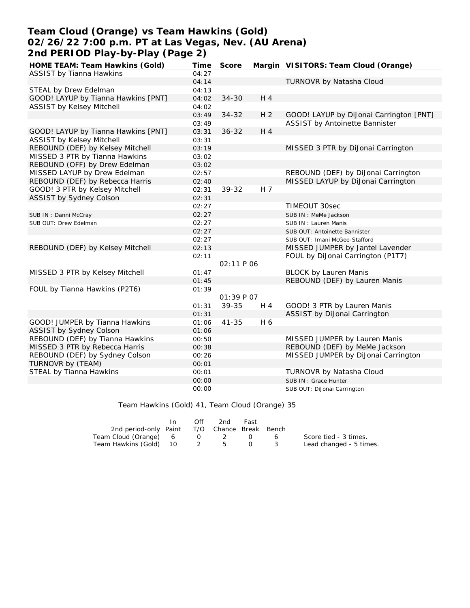# **Team Cloud (Orange) vs Team Hawkins (Gold) 02/26/22 7:00 p.m. PT at Las Vegas, Nev. (AU Arena) 2nd PERIOD Play-by-Play (Page 2)**

| HOME TEAM: Team Hawkins (Gold)      | Time  | Score      |                | Margin VISITORS: Team Cloud (Orange)    |
|-------------------------------------|-------|------------|----------------|-----------------------------------------|
| <b>ASSIST by Tianna Hawkins</b>     | 04:27 |            |                |                                         |
|                                     | 04:14 |            |                | TURNOVR by Natasha Cloud                |
| STEAL by Drew Edelman               | 04:13 |            |                |                                         |
| GOOD! LAYUP by Tianna Hawkins [PNT] | 04:02 | $34 - 30$  | H 4            |                                         |
| <b>ASSIST by Kelsey Mitchell</b>    | 04:02 |            |                |                                         |
|                                     | 03:49 | $34 - 32$  | H <sub>2</sub> | GOOD! LAYUP by DiJonai Carrington [PNT] |
|                                     | 03:49 |            |                | ASSIST by Antoinette Bannister          |
| GOOD! LAYUP by Tianna Hawkins [PNT] | 03:31 | $36 - 32$  | H 4            |                                         |
| <b>ASSIST by Kelsey Mitchell</b>    | 03:31 |            |                |                                         |
| REBOUND (DEF) by Kelsey Mitchell    | 03:19 |            |                | MISSED 3 PTR by DiJonai Carrington      |
| MISSED 3 PTR by Tianna Hawkins      | 03:02 |            |                |                                         |
| REBOUND (OFF) by Drew Edelman       | 03:02 |            |                |                                         |
| MISSED LAYUP by Drew Edelman        | 02:57 |            |                | REBOUND (DEF) by DiJonai Carrington     |
| REBOUND (DEF) by Rebecca Harris     | 02:40 |            |                | MISSED LAYUP by DiJonai Carrington      |
| GOOD! 3 PTR by Kelsey Mitchell      | 02:31 | 39-32      | H 7            |                                         |
| ASSIST by Sydney Colson             | 02:31 |            |                |                                         |
|                                     | 02:27 |            |                | TIMEOUT 30sec                           |
| SUB IN: Danni McCray                | 02:27 |            |                | SUB IN : MeMe Jackson                   |
| SUB OUT: Drew Edelman               | 02:27 |            |                | SUB IN: Lauren Manis                    |
|                                     | 02:27 |            |                | SUB OUT: Antoinette Bannister           |
|                                     | 02:27 |            |                | SUB OUT: Imani McGee-Stafford           |
| REBOUND (DEF) by Kelsey Mitchell    | 02:13 |            |                | MISSED JUMPER by Jantel Lavender        |
|                                     | 02:11 |            |                | FOUL by DiJonai Carrington (P1T7)       |
|                                     |       | 02:11P06   |                |                                         |
| MISSED 3 PTR by Kelsey Mitchell     | 01:47 |            |                | <b>BLOCK by Lauren Manis</b>            |
|                                     | 01:45 |            |                | REBOUND (DEF) by Lauren Manis           |
| FOUL by Tianna Hawkins (P2T6)       | 01:39 |            |                |                                         |
|                                     |       | 01:39 P 07 |                |                                         |
|                                     | 01:31 | 39-35      | H 4            | GOOD! 3 PTR by Lauren Manis             |
|                                     | 01:31 |            |                | ASSIST by DiJonai Carrington            |
| GOOD! JUMPER by Tianna Hawkins      | 01:06 | $41 - 35$  | H 6            |                                         |
| ASSIST by Sydney Colson             | 01:06 |            |                |                                         |
| REBOUND (DEF) by Tianna Hawkins     | 00:50 |            |                | MISSED JUMPER by Lauren Manis           |
| MISSED 3 PTR by Rebecca Harris      | 00:38 |            |                | REBOUND (DEF) by MeMe Jackson           |
| REBOUND (DEF) by Sydney Colson      | 00:26 |            |                | MISSED JUMPER by DiJonai Carrington     |
| TURNOVR by (TEAM)                   | 00:01 |            |                |                                         |
| STEAL by Tianna Hawkins             | 00:01 |            |                | TURNOVR by Natasha Cloud                |
|                                     | 00:00 |            |                | SUB IN: Grace Hunter                    |
|                                     | 00:00 |            |                | SUB OUT: DiJonai Carrington             |

Team Hawkins (Gold) 41, Team Cloud (Orange) 35

|                                              | In. | Off | 2nd | Fast |     |                         |
|----------------------------------------------|-----|-----|-----|------|-----|-------------------------|
| 2nd period-only Paint T/O Chance Break Bench |     |     |     |      |     |                         |
| Team Cloud (Orange) 6 0 2 0 6                |     |     |     |      |     | Score tied - 3 times.   |
| Team Hawkins (Gold) 10 2 5                   |     |     |     |      | - 3 | Lead changed - 5 times. |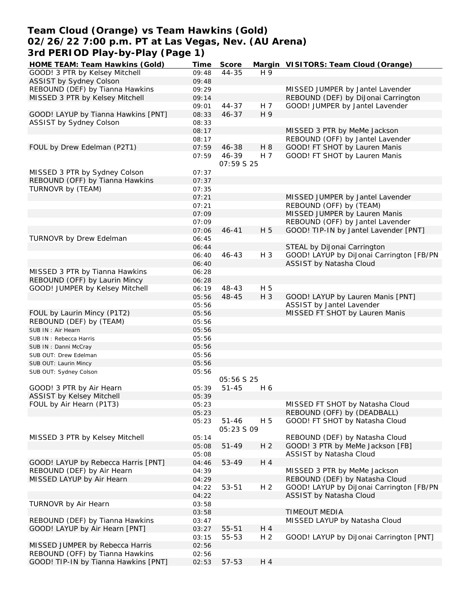### **Team Cloud (Orange) vs Team Hawkins (Gold) 02/26/22 7:00 p.m. PT at Las Vegas, Nev. (AU Arena) 3rd PERIOD Play-by-Play (Page 1)**

| HOME TEAM: Team Hawkins (Gold)       | Time           | Score                   |                | Margin VISITORS: Team Cloud (Orange)     |
|--------------------------------------|----------------|-------------------------|----------------|------------------------------------------|
| GOOD! 3 PTR by Kelsey Mitchell       | 09:48          | $44 - 35$               | H 9            |                                          |
| ASSIST by Sydney Colson              | 09:48          |                         |                |                                          |
| REBOUND (DEF) by Tianna Hawkins      | 09:29          |                         |                | MISSED JUMPER by Jantel Lavender         |
| MISSED 3 PTR by Kelsey Mitchell      | 09:14          |                         |                | REBOUND (DEF) by DiJonai Carrington      |
|                                      | 09:01          | $44 - 37$               | H 7            | GOOD! JUMPER by Jantel Lavender          |
| GOOD! LAYUP by Tianna Hawkins [PNT]  | 08:33          | $46 - 37$               | H 9            |                                          |
| ASSIST by Sydney Colson              | 08:33          |                         |                |                                          |
|                                      | 08:17          |                         |                | MISSED 3 PTR by MeMe Jackson             |
|                                      | 08:17          |                         |                | REBOUND (OFF) by Jantel Lavender         |
| FOUL by Drew Edelman (P2T1)          | 07:59          | 46-38                   | H 8            | GOOD! FT SHOT by Lauren Manis            |
|                                      |                | 46-39                   | H 7            | GOOD! FT SHOT by Lauren Manis            |
|                                      | 07:59          | <i>07:59 S 25</i>       |                |                                          |
| MISSED 3 PTR by Sydney Colson        | 07:37          |                         |                |                                          |
| REBOUND (OFF) by Tianna Hawkins      | 07:37          |                         |                |                                          |
| TURNOVR by (TEAM)                    | 07:35          |                         |                |                                          |
|                                      | 07:21          |                         |                | MISSED JUMPER by Jantel Lavender         |
|                                      | 07:21          |                         |                | REBOUND (OFF) by (TEAM)                  |
|                                      | 07:09          |                         |                | MISSED JUMPER by Lauren Manis            |
|                                      | 07:09          |                         |                | REBOUND (OFF) by Jantel Lavender         |
|                                      | 07:06          | $46 - 41$               | H 5            | GOOD! TIP-IN by Jantel Lavender [PNT]    |
| TURNOVR by Drew Edelman              | 06:45          |                         |                |                                          |
|                                      | 06:44          |                         |                | STEAL by DiJonai Carrington              |
|                                      | 06:40          | $46 - 43$               | H 3            | GOOD! LAYUP by DiJonai Carrington [FB/PN |
|                                      | 06:40          |                         |                | ASSIST by Natasha Cloud                  |
| MISSED 3 PTR by Tianna Hawkins       | 06:28          |                         |                |                                          |
| REBOUND (OFF) by Laurin Mincy        | 06:28          |                         |                |                                          |
|                                      |                | 48-43                   | H 5            |                                          |
| GOOD! JUMPER by Kelsey Mitchell      | 06:19          |                         | $H_3$          |                                          |
|                                      | 05:56          | 48-45                   |                | GOOD! LAYUP by Lauren Manis [PNT]        |
|                                      | 05:56          |                         |                | ASSIST by Jantel Lavender                |
| FOUL by Laurin Mincy (P1T2)          | 05:56          |                         |                | MISSED FT SHOT by Lauren Manis           |
| REBOUND (DEF) by (TEAM)              | 05:56          |                         |                |                                          |
| SUB IN : Air Hearn                   | 05:56          |                         |                |                                          |
| SUB IN: Rebecca Harris               | 05:56          |                         |                |                                          |
| SUB IN: Danni McCray                 | 05:56          |                         |                |                                          |
| SUB OUT: Drew Edelman                | 05:56          |                         |                |                                          |
| SUB OUT: Laurin Mincy                | 05:56          |                         |                |                                          |
| SUB OUT: Sydney Colson               | 05:56          |                         |                |                                          |
|                                      |                | 05:56 S 25              |                |                                          |
| GOOD! 3 PTR by Air Hearn             | 05:39          | $51 - 45$               | H 6            |                                          |
| ASSIST by Kelsey Mitchell            | 05:39          |                         |                |                                          |
| FOUL by Air Hearn (P1T3)             | 05:23          |                         |                | MISSED FT SHOT by Natasha Cloud          |
|                                      | 05:23          |                         |                | REBOUND (OFF) by (DEADBALL)              |
|                                      | 05:23          | $51 - 46$<br>05:23 S 09 | H 5            | GOOD! FT SHOT by Natasha Cloud           |
| MISSED 3 PTR by Kelsey Mitchell      | 05:14          |                         |                | REBOUND (DEF) by Natasha Cloud           |
|                                      | 05:08          | $51 - 49$               | H <sub>2</sub> | GOOD! 3 PTR by MeMe Jackson [FB]         |
|                                      | 05:08          |                         |                | ASSIST by Natasha Cloud                  |
| GOOD! LAYUP by Rebecca Harris [PNT]  | 04:46          | 53-49                   | H 4            |                                          |
| REBOUND (DEF) by Air Hearn           | 04:39          |                         |                | MISSED 3 PTR by MeMe Jackson             |
| MISSED LAYUP by Air Hearn            | 04:29          |                         |                | REBOUND (DEF) by Natasha Cloud           |
|                                      |                |                         |                | GOOD! LAYUP by DiJonai Carrington [FB/PN |
|                                      | 04:22<br>04:22 | 53-51                   | H <sub>2</sub> | ASSIST by Natasha Cloud                  |
| TURNOVR by Air Hearn                 |                |                         |                |                                          |
|                                      | 03:58          |                         |                |                                          |
|                                      | 03:58          |                         |                | TIMEOUT MEDIA                            |
| REBOUND (DEF) by Tianna Hawkins      | 03:47          |                         |                | MISSED LAYUP by Natasha Cloud            |
| GOOD! LAYUP by Air Hearn [PNT]       | 03:27          | 55-51                   | H 4            |                                          |
|                                      | 03:15          | 55-53                   | H <sub>2</sub> | GOOD! LAYUP by DiJonai Carrington [PNT]  |
| MISSED JUMPER by Rebecca Harris      | 02:56          |                         |                |                                          |
| REBOUND (OFF) by Tianna Hawkins      | 02:56          |                         |                |                                          |
| GOOD! TIP-IN by Tianna Hawkins [PNT] | 02:53          | 57-53                   | H 4            |                                          |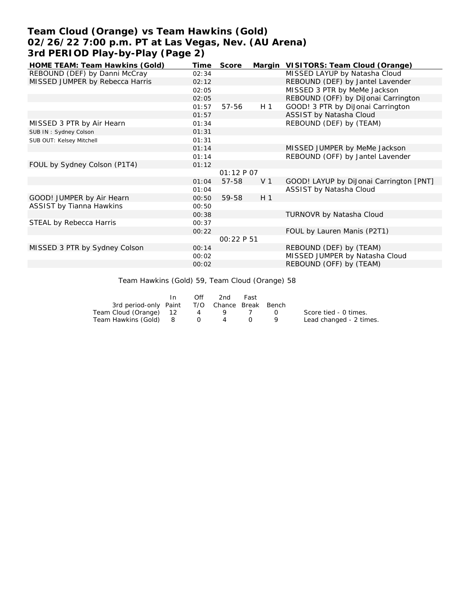# **Team Cloud (Orange) vs Team Hawkins (Gold) 02/26/22 7:00 p.m. PT at Las Vegas, Nev. (AU Arena) 3rd PERIOD Play-by-Play (Page 2)**

| HOME TEAM: Team Hawkins (Gold)  | Time  | Score      |                | Margin VISITORS: Team Cloud (Orange)    |
|---------------------------------|-------|------------|----------------|-----------------------------------------|
| REBOUND (DEF) by Danni McCray   | 02:34 |            |                | MISSED LAYUP by Natasha Cloud           |
| MISSED JUMPER by Rebecca Harris | 02:12 |            |                | REBOUND (DEF) by Jantel Lavender        |
|                                 | 02:05 |            |                | MISSED 3 PTR by MeMe Jackson            |
|                                 | 02:05 |            |                | REBOUND (OFF) by DiJonai Carrington     |
|                                 | 01:57 | 57-56      | H 1            | GOOD! 3 PTR by DiJonai Carrington       |
|                                 | 01:57 |            |                | ASSIST by Natasha Cloud                 |
| MISSED 3 PTR by Air Hearn       | 01:34 |            |                | REBOUND (DEF) by (TEAM)                 |
| SUB IN: Sydney Colson           | 01:31 |            |                |                                         |
| SUB OUT: Kelsey Mitchell        | 01:31 |            |                |                                         |
|                                 | 01:14 |            |                | MISSED JUMPER by MeMe Jackson           |
|                                 | 01:14 |            |                | REBOUND (OFF) by Jantel Lavender        |
| FOUL by Sydney Colson (P1T4)    | 01:12 |            |                |                                         |
|                                 |       | 01:12 P 07 |                |                                         |
|                                 | 01:04 | 57-58      | V <sub>1</sub> | GOOD! LAYUP by DiJonai Carrington [PNT] |
|                                 | 01:04 |            |                | ASSIST by Natasha Cloud                 |
| GOOD! JUMPER by Air Hearn       | 00:50 | 59-58      | H <sub>1</sub> |                                         |
| <b>ASSIST by Tianna Hawkins</b> | 00:50 |            |                |                                         |
|                                 | 00:38 |            |                | TURNOVR by Natasha Cloud                |
| STEAL by Rebecca Harris         | 00:37 |            |                |                                         |
|                                 | 00:22 |            |                | FOUL by Lauren Manis (P2T1)             |
|                                 |       | 00:22 P 51 |                |                                         |
| MISSED 3 PTR by Sydney Colson   | 00:14 |            |                | REBOUND (DEF) by (TEAM)                 |
|                                 | 00:02 |            |                | MISSED JUMPER by Natasha Cloud          |
|                                 | 00:02 |            |                | REBOUND (OFF) by (TEAM)                 |
|                                 |       |            |                |                                         |

Team Hawkins (Gold) 59, Team Cloud (Orange) 58

|                                              | Off | 2nd | Fast |        |                         |
|----------------------------------------------|-----|-----|------|--------|-------------------------|
| 3rd period-only Paint T/O Chance Break Bench |     |     |      |        |                         |
| Team Cloud (Orange) 12                       | 4   |     |      | $\cap$ | Score tied - 0 times.   |
| Team Hawkins (Gold) 8 0                      |     | 4   |      |        | Lead changed - 2 times. |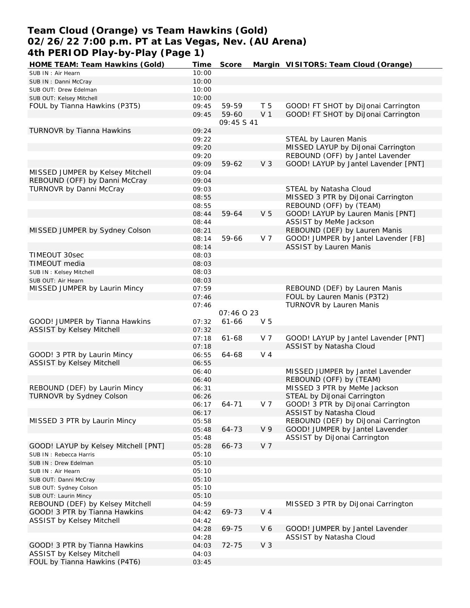### **Team Cloud (Orange) vs Team Hawkins (Gold) 02/26/22 7:00 p.m. PT at Las Vegas, Nev. (AU Arena) 4th PERIOD Play-by-Play (Page 1)**

| HOME TEAM: Team Hawkins (Gold)       | Time  | Score       |                | Margin VISITORS: Team Cloud (Orange) |
|--------------------------------------|-------|-------------|----------------|--------------------------------------|
| SUB IN: Air Hearn                    | 10:00 |             |                |                                      |
| SUB IN: Danni McCray                 | 10:00 |             |                |                                      |
| SUB OUT: Drew Edelman                | 10:00 |             |                |                                      |
| SUB OUT: Kelsey Mitchell             | 10:00 |             |                |                                      |
| FOUL by Tianna Hawkins (P3T5)        | 09:45 | 59-59       | T <sub>5</sub> | GOOD! FT SHOT by DiJonai Carrington  |
|                                      | 09:45 | 59-60       | V <sub>1</sub> | GOOD! FT SHOT by DiJonai Carrington  |
|                                      |       | 09:45 \$ 41 |                |                                      |
| TURNOVR by Tianna Hawkins            | 09:24 |             |                |                                      |
|                                      | 09:22 |             |                | STEAL by Lauren Manis                |
|                                      | 09:20 |             |                | MISSED LAYUP by DiJonai Carrington   |
|                                      | 09:20 |             |                | REBOUND (OFF) by Jantel Lavender     |
|                                      | 09:09 | 59-62       | V <sub>3</sub> | GOOD! LAYUP by Jantel Lavender [PNT] |
| MISSED JUMPER by Kelsey Mitchell     | 09:04 |             |                |                                      |
| REBOUND (OFF) by Danni McCray        | 09:04 |             |                |                                      |
| TURNOVR by Danni McCray              | 09:03 |             |                | STEAL by Natasha Cloud               |
|                                      | 08:55 |             |                | MISSED 3 PTR by DiJonai Carrington   |
|                                      | 08:55 |             |                | REBOUND (OFF) by (TEAM)              |
|                                      | 08:44 | 59-64       | V <sub>5</sub> | GOOD! LAYUP by Lauren Manis [PNT]    |
|                                      | 08:44 |             |                | ASSIST by MeMe Jackson               |
| MISSED JUMPER by Sydney Colson       | 08:21 |             |                | REBOUND (DEF) by Lauren Manis        |
|                                      | 08:14 | 59-66       | V 7            | GOOD! JUMPER by Jantel Lavender [FB] |
|                                      | 08:14 |             |                | <b>ASSIST by Lauren Manis</b>        |
| TIMEOUT 30sec                        | 08:03 |             |                |                                      |
| TIMEOUT media                        | 08:03 |             |                |                                      |
| SUB IN: Kelsey Mitchell              | 08:03 |             |                |                                      |
| SUB OUT: Air Hearn                   | 08:03 |             |                |                                      |
| MISSED JUMPER by Laurin Mincy        | 07:59 |             |                | REBOUND (DEF) by Lauren Manis        |
|                                      | 07:46 |             |                | FOUL by Lauren Manis (P3T2)          |
|                                      |       |             |                | TURNOVR by Lauren Manis              |
|                                      | 07:46 | 07:46 0 23  |                |                                      |
| GOOD! JUMPER by Tianna Hawkins       | 07:32 | $61 - 66$   | V <sub>5</sub> |                                      |
|                                      | 07:32 |             |                |                                      |
| ASSIST by Kelsey Mitchell            |       |             |                |                                      |
|                                      | 07:18 | $61 - 68$   | V 7            | GOOD! LAYUP by Jantel Lavender [PNT] |
|                                      | 07:18 |             |                | ASSIST by Natasha Cloud              |
| GOOD! 3 PTR by Laurin Mincy          | 06:55 | 64-68       | V <sub>4</sub> |                                      |
| <b>ASSIST by Kelsey Mitchell</b>     | 06:55 |             |                |                                      |
|                                      | 06:40 |             |                | MISSED JUMPER by Jantel Lavender     |
|                                      | 06:40 |             |                | REBOUND (OFF) by (TEAM)              |
| REBOUND (DEF) by Laurin Mincy        | 06:31 |             |                | MISSED 3 PTR by MeMe Jackson         |
| TURNOVR by Sydney Colson             | 06:26 |             |                | STEAL by DiJonai Carrington          |
|                                      | 06:17 | 64-71       | V 7            | GOOD! 3 PTR by DiJonai Carrington    |
|                                      | 06:17 |             |                | ASSIST by Natasha Cloud              |
| MISSED 3 PTR by Laurin Mincy         | 05:58 |             |                | REBOUND (DEF) by DiJonai Carrington  |
|                                      | 05:48 | 64-73       | V <sub>9</sub> | GOOD! JUMPER by Jantel Lavender      |
|                                      | 05:48 |             |                | ASSIST by DiJonai Carrington         |
| GOOD! LAYUP by Kelsey Mitchell [PNT] | 05:28 | 66-73       | V <sub>7</sub> |                                      |
| SUB IN: Rebecca Harris               | 05:10 |             |                |                                      |
| SUB IN : Drew Edelman                | 05:10 |             |                |                                      |
| SUB IN: Air Hearn                    | 05:10 |             |                |                                      |
| SUB OUT: Danni McCray                | 05:10 |             |                |                                      |
| SUB OUT: Sydney Colson               | 05:10 |             |                |                                      |
| SUB OUT: Laurin Mincy                | 05:10 |             |                |                                      |
| REBOUND (DEF) by Kelsey Mitchell     | 04:59 |             |                | MISSED 3 PTR by DiJonai Carrington   |
| GOOD! 3 PTR by Tianna Hawkins        | 04:42 | 69-73       | V <sub>4</sub> |                                      |
| ASSIST by Kelsey Mitchell            | 04:42 |             |                |                                      |
|                                      | 04:28 | 69-75       | V6             | GOOD! JUMPER by Jantel Lavender      |
|                                      | 04:28 |             |                | ASSIST by Natasha Cloud              |
| GOOD! 3 PTR by Tianna Hawkins        | 04:03 | 72-75       | V <sub>3</sub> |                                      |
| ASSIST by Kelsey Mitchell            | 04:03 |             |                |                                      |
| FOUL by Tianna Hawkins (P4T6)        | 03:45 |             |                |                                      |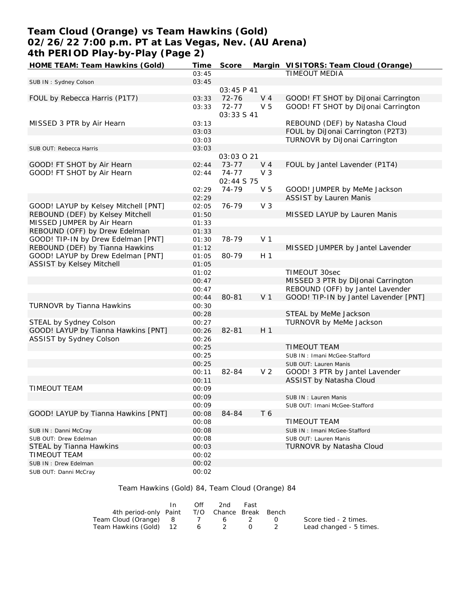# **Team Cloud (Orange) vs Team Hawkins (Gold) 02/26/22 7:00 p.m. PT at Las Vegas, Nev. (AU Arena) 4th PERIOD Play-by-Play (Page 2)**

| HOME TEAM: Team Hawkins (Gold)       | Time  | Score                   |                | Margin VISITORS: Team Cloud (Orange)  |
|--------------------------------------|-------|-------------------------|----------------|---------------------------------------|
|                                      | 03:45 |                         |                | TIMEOUT MEDIA                         |
| SUB IN: Sydney Colson                | 03:45 |                         |                |                                       |
|                                      |       | 03:45 P 41              |                |                                       |
| FOUL by Rebecca Harris (P1T7)        | 03:33 | 72-76                   | V <sub>4</sub> | GOOD! FT SHOT by DiJonai Carrington   |
|                                      | 03:33 | $72 - 77$               | V <sub>5</sub> | GOOD! FT SHOT by DiJonai Carrington   |
|                                      |       | 03:33 S 41              |                |                                       |
| MISSED 3 PTR by Air Hearn            | 03:13 |                         |                | REBOUND (DEF) by Natasha Cloud        |
|                                      | 03:03 |                         |                | FOUL by DiJonai Carrington (P2T3)     |
|                                      | 03:03 |                         |                | TURNOVR by DiJonai Carrington         |
| SUB OUT: Rebecca Harris              | 03:03 |                         |                |                                       |
|                                      |       | 03:03 0 21              |                |                                       |
| GOOD! FT SHOT by Air Hearn           | 02:44 | $73 - 77$               | $V_4$          | FOUL by Jantel Lavender (P1T4)        |
| GOOD! FT SHOT by Air Hearn           | 02:44 | $74 - 77$<br>02:44 S 75 | V <sub>3</sub> |                                       |
|                                      | 02:29 | 74-79                   | V <sub>5</sub> | GOOD! JUMPER by MeMe Jackson          |
|                                      | 02:29 |                         |                | <b>ASSIST by Lauren Manis</b>         |
| GOOD! LAYUP by Kelsey Mitchell [PNT] | 02:05 | 76-79                   | V <sub>3</sub> |                                       |
| REBOUND (DEF) by Kelsey Mitchell     | 01:50 |                         |                | MISSED LAYUP by Lauren Manis          |
| MISSED JUMPER by Air Hearn           | 01:33 |                         |                |                                       |
| REBOUND (OFF) by Drew Edelman        | 01:33 |                         |                |                                       |
| GOOD! TIP-IN by Drew Edelman [PNT]   | 01:30 | 78-79                   | V <sub>1</sub> |                                       |
| REBOUND (DEF) by Tianna Hawkins      | 01:12 |                         |                | MISSED JUMPER by Jantel Lavender      |
| GOOD! LAYUP by Drew Edelman [PNT]    | 01:05 | 80-79                   | H <sub>1</sub> |                                       |
| <b>ASSIST by Kelsey Mitchell</b>     | 01:05 |                         |                |                                       |
|                                      |       |                         |                |                                       |
|                                      | 01:02 |                         |                | TIMEOUT 30sec                         |
|                                      | 00:47 |                         |                | MISSED 3 PTR by DiJonai Carrington    |
|                                      | 00:47 |                         |                | REBOUND (OFF) by Jantel Lavender      |
|                                      | 00:44 | 80-81                   | V <sub>1</sub> | GOOD! TIP-IN by Jantel Lavender [PNT] |
| TURNOVR by Tianna Hawkins            | 00:30 |                         |                |                                       |
|                                      | 00:28 |                         |                | STEAL by MeMe Jackson                 |
| STEAL by Sydney Colson               | 00:27 |                         |                | TURNOVR by MeMe Jackson               |
| GOOD! LAYUP by Tianna Hawkins [PNT]  | 00:26 | 82-81                   | H <sub>1</sub> |                                       |
| <b>ASSIST by Sydney Colson</b>       | 00:26 |                         |                |                                       |
|                                      | 00:25 |                         |                | <b>TIMEOUT TEAM</b>                   |
|                                      | 00:25 |                         |                | SUB IN: Imani McGee-Stafford          |
|                                      | 00:25 |                         |                | SUB OUT: Lauren Manis                 |
|                                      | 00:11 | 82-84                   | V <sub>2</sub> | GOOD! 3 PTR by Jantel Lavender        |
|                                      | 00:11 |                         |                | ASSIST by Natasha Cloud               |
| <b>TIMEOUT TEAM</b>                  | 00:09 |                         |                |                                       |
|                                      | 00:09 |                         |                | SUB IN: Lauren Manis                  |
|                                      | 00:09 |                         |                | SUB OUT: Imani McGee-Stafford         |
| GOOD! LAYUP by Tianna Hawkins [PNT]  | 00:08 | 84-84                   | T 6            |                                       |
|                                      | 00:08 |                         |                | TIMEOUT TEAM                          |
| SUB IN: Danni McCray                 | 00:08 |                         |                | SUB IN: Imani McGee-Stafford          |
| SUB OUT: Drew Edelman                | 00:08 |                         |                | SUB OUT: Lauren Manis                 |
| STEAL by Tianna Hawkins              | 00:03 |                         |                | TURNOVR by Natasha Cloud              |
| TIMEOUT TEAM                         | 00:02 |                         |                |                                       |
| SUB IN : Drew Edelman                | 00:02 |                         |                |                                       |
| SUB OUT: Danni McCray                | 00:02 |                         |                |                                       |

Team Hawkins (Gold) 84, Team Cloud (Orange) 84

|                                              | Off | 2nd | Fast |                         |
|----------------------------------------------|-----|-----|------|-------------------------|
| 4th period-only Paint T/O Chance Break Bench |     |     |      |                         |
| Team Cloud (Orange) 8 7 6 2 0                |     |     |      | Score tied - 2 times.   |
| Team Hawkins (Gold) 12 6 2                   |     |     |      | Lead changed - 5 times. |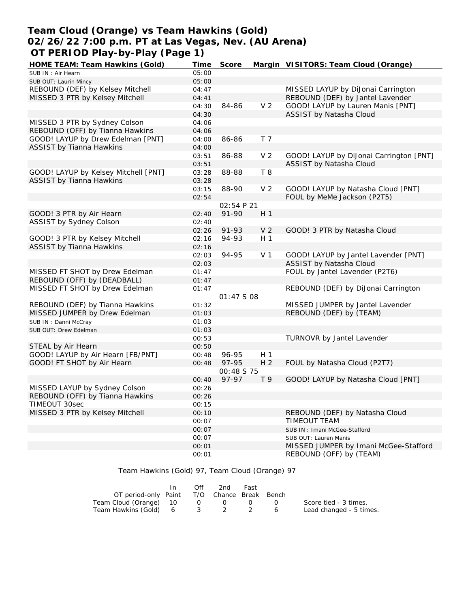### **Team Cloud (Orange) vs Team Hawkins (Gold) 02/26/22 7:00 p.m. PT at Las Vegas, Nev. (AU Arena) OT PERIOD Play-by-Play (Page 1)**

| HOME TEAM: Team Hawkins (Gold)       | Time  | Score             |                | Margin VISITORS: Team Cloud (Orange)    |
|--------------------------------------|-------|-------------------|----------------|-----------------------------------------|
| SUB IN: Air Hearn                    | 05:00 |                   |                |                                         |
| SUB OUT: Laurin Mincy                | 05:00 |                   |                |                                         |
| REBOUND (DEF) by Kelsey Mitchell     | 04:47 |                   |                | MISSED LAYUP by DiJonai Carrington      |
| MISSED 3 PTR by Kelsey Mitchell      | 04:41 |                   |                | REBOUND (DEF) by Jantel Lavender        |
|                                      | 04:30 | 84-86             | V <sub>2</sub> | GOOD! LAYUP by Lauren Manis [PNT]       |
|                                      | 04:30 |                   |                | ASSIST by Natasha Cloud                 |
| MISSED 3 PTR by Sydney Colson        | 04:06 |                   |                |                                         |
| REBOUND (OFF) by Tianna Hawkins      | 04:06 |                   |                |                                         |
| GOOD! LAYUP by Drew Edelman [PNT]    | 04:00 | 86-86             | T <sub>7</sub> |                                         |
| <b>ASSIST by Tianna Hawkins</b>      | 04:00 |                   |                |                                         |
|                                      |       | 86-88             | V <sub>2</sub> | GOOD! LAYUP by DiJonai Carrington [PNT] |
|                                      | 03:51 |                   |                | ASSIST by Natasha Cloud                 |
|                                      | 03:51 |                   |                |                                         |
| GOOD! LAYUP by Kelsey Mitchell [PNT] | 03:28 | 88-88             | T 8            |                                         |
| <b>ASSIST by Tianna Hawkins</b>      | 03:28 |                   |                |                                         |
|                                      | 03:15 | 88-90             | V <sub>2</sub> | GOOD! LAYUP by Natasha Cloud [PNT]      |
|                                      | 02:54 |                   |                | FOUL by MeMe Jackson (P2T5)             |
|                                      |       | <i>02:54 P 21</i> |                |                                         |
| GOOD! 3 PTR by Air Hearn             | 02:40 | $91 - 90$         | H <sub>1</sub> |                                         |
| ASSIST by Sydney Colson              | 02:40 |                   |                |                                         |
|                                      | 02:26 | 91-93             | V <sub>2</sub> | GOOD! 3 PTR by Natasha Cloud            |
| GOOD! 3 PTR by Kelsey Mitchell       | 02:16 | 94-93             | H <sub>1</sub> |                                         |
| <b>ASSIST by Tianna Hawkins</b>      | 02:16 |                   |                |                                         |
|                                      | 02:03 | 94-95             | V <sub>1</sub> | GOOD! LAYUP by Jantel Lavender [PNT]    |
|                                      | 02:03 |                   |                | ASSIST by Natasha Cloud                 |
| MISSED FT SHOT by Drew Edelman       | 01:47 |                   |                | FOUL by Jantel Lavender (P2T6)          |
| REBOUND (OFF) by (DEADBALL)          | 01:47 |                   |                |                                         |
| MISSED FT SHOT by Drew Edelman       | 01:47 |                   |                | REBOUND (DEF) by DiJonai Carrington     |
|                                      |       | 01:47 S 08        |                |                                         |
| REBOUND (DEF) by Tianna Hawkins      | 01:32 |                   |                | MISSED JUMPER by Jantel Lavender        |
| MISSED JUMPER by Drew Edelman        | 01:03 |                   |                | REBOUND (DEF) by (TEAM)                 |
| SUB IN: Danni McCray                 | 01:03 |                   |                |                                         |
| SUB OUT: Drew Edelman                | 01:03 |                   |                |                                         |
|                                      |       |                   |                |                                         |
|                                      | 00:53 |                   |                | TURNOVR by Jantel Lavender              |
| STEAL by Air Hearn                   | 00:50 |                   |                |                                         |
| GOOD! LAYUP by Air Hearn [FB/PNT]    | 00:48 | 96-95             | H 1            |                                         |
| GOOD! FT SHOT by Air Hearn           | 00:48 | 97-95             | H <sub>2</sub> | FOUL by Natasha Cloud (P2T7)            |
|                                      |       | <i>00:48 S 75</i> |                |                                         |
|                                      | 00:40 | 97-97             | T <sub>9</sub> | GOOD! LAYUP by Natasha Cloud [PNT]      |
| MISSED LAYUP by Sydney Colson        | 00:26 |                   |                |                                         |
| REBOUND (OFF) by Tianna Hawkins      | 00:26 |                   |                |                                         |
| TIMEOUT 30sec                        | 00:15 |                   |                |                                         |
| MISSED 3 PTR by Kelsey Mitchell      | 00:10 |                   |                | REBOUND (DEF) by Natasha Cloud          |
|                                      | 00:07 |                   |                | TIMEOUT TEAM                            |
|                                      | 00:07 |                   |                | SUB IN: Imani McGee-Stafford            |
|                                      | 00:07 |                   |                | SUB OUT: Lauren Manis                   |
|                                      | 00:01 |                   |                | MISSED JUMPER by Imani McGee-Stafford   |
|                                      | 00:01 |                   |                | REBOUND (OFF) by (TEAM)                 |
|                                      |       |                   |                |                                         |

Team Hawkins (Gold) 97, Team Cloud (Orange) 97

|                                             | In | Off | 2nd | Fast |                         |
|---------------------------------------------|----|-----|-----|------|-------------------------|
| OT period-only Paint T/O Chance Break Bench |    |     |     |      |                         |
| Team Cloud (Orange) 10 0 0 0 0              |    |     |     |      | Score tied - 3 times.   |
| Team Hawkins (Gold) 6 3 2 2 6               |    |     |     |      | Lead changed - 5 times. |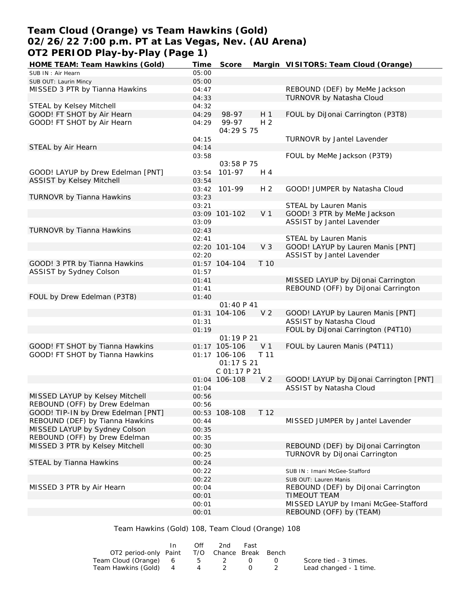# **Team Cloud (Orange) vs Team Hawkins (Gold) 02/26/22 7:00 p.m. PT at Las Vegas, Nev. (AU Arena) OT2 PERIOD Play-by-Play (Page 1)**

| HOME TEAM: Team Hawkins (Gold)     | <u>Time</u>    | Score                     |                | Margin VISITORS: Team Cloud (Orange)                         |
|------------------------------------|----------------|---------------------------|----------------|--------------------------------------------------------------|
| SUB IN: Air Hearn                  | 05:00          |                           |                |                                                              |
| SUB OUT: Laurin Mincy              | 05:00          |                           |                |                                                              |
| MISSED 3 PTR by Tianna Hawkins     | 04:47          |                           |                | REBOUND (DEF) by MeMe Jackson                                |
|                                    | 04:33          |                           |                | TURNOVR by Natasha Cloud                                     |
| STEAL by Kelsey Mitchell           | 04:32          |                           |                |                                                              |
| GOOD! FT SHOT by Air Hearn         | 04:29          | 98-97                     | H <sub>1</sub> | FOUL by DiJonai Carrington (P3T8)                            |
| GOOD! FT SHOT by Air Hearn         | 04:29          | 99-97<br>04:29 S 75       | H <sub>2</sub> |                                                              |
|                                    | 04:15          |                           |                | TURNOVR by Jantel Lavender                                   |
| STEAL by Air Hearn                 | 04:14          |                           |                |                                                              |
|                                    | 03:58          |                           |                | FOUL by MeMe Jackson (P3T9)                                  |
|                                    |                | 03:58 P 75                |                |                                                              |
| GOOD! LAYUP by Drew Edelman [PNT]  | 03:54          | $101 - 97$                | H 4            |                                                              |
| <b>ASSIST by Kelsey Mitchell</b>   | 03:54          |                           |                |                                                              |
|                                    |                | 03:42 101-99              | H <sub>2</sub> | GOOD! JUMPER by Natasha Cloud                                |
| TURNOVR by Tianna Hawkins          | 03:23          |                           |                |                                                              |
|                                    | 03:21          |                           |                | STEAL by Lauren Manis                                        |
|                                    |                | 03:09 101-102             | V <sub>1</sub> | GOOD! 3 PTR by MeMe Jackson                                  |
|                                    | 03:09          |                           |                | ASSIST by Jantel Lavender                                    |
| TURNOVR by Tianna Hawkins          | 02:43          |                           |                |                                                              |
|                                    | 02:41          | 02:20 101-104             | V <sub>3</sub> | STEAL by Lauren Manis<br>GOOD! LAYUP by Lauren Manis [PNT]   |
|                                    | 02:20          |                           |                | ASSIST by Jantel Lavender                                    |
| GOOD! 3 PTR by Tianna Hawkins      |                | 01:57 104-104             | T 10           |                                                              |
| <b>ASSIST by Sydney Colson</b>     | 01:57          |                           |                |                                                              |
|                                    | 01:41          |                           |                | MISSED LAYUP by DiJonai Carrington                           |
|                                    | 01:41          |                           |                | REBOUND (OFF) by DiJonai Carrington                          |
| FOUL by Drew Edelman (P3T8)        | 01:40          |                           |                |                                                              |
|                                    |                | 01:40 P 41                |                |                                                              |
|                                    |                | 01:31 104-106             | V <sub>2</sub> | GOOD! LAYUP by Lauren Manis [PNT]                            |
|                                    | 01:31          |                           |                | ASSIST by Natasha Cloud                                      |
|                                    | 01:19          |                           |                | FOUL by DiJonai Carrington (P4T10)                           |
|                                    |                | 01:19P21                  |                |                                                              |
| GOOD! FT SHOT by Tianna Hawkins    |                | 01:17 105-106             | V <sub>1</sub> | FOUL by Lauren Manis (P4T11)                                 |
| GOOD! FT SHOT by Tianna Hawkins    |                | 01:17 106-106<br>01:17521 | T 11           |                                                              |
|                                    |                | C01:17P21                 |                |                                                              |
|                                    |                | 01:04 106-108             | V <sub>2</sub> | GOOD! LAYUP by DiJonai Carrington [PNT]                      |
|                                    | 01:04          |                           |                | ASSIST by Natasha Cloud                                      |
| MISSED LAYUP by Kelsey Mitchell    | 00:56          |                           |                |                                                              |
| REBOUND (OFF) by Drew Edelman      | 00:56          |                           |                |                                                              |
| GOOD! TIP-IN by Drew Edelman [PNT] |                | 00:53 108-108             | T 12           |                                                              |
| REBOUND (DEF) by Tianna Hawkins    | 00:44          |                           |                | MISSED JUMPER by Jantel Lavender                             |
| MISSED LAYUP by Sydney Colson      | 00:35          |                           |                |                                                              |
| REBOUND (OFF) by Drew Edelman      | 00:35          |                           |                |                                                              |
| MISSED 3 PTR by Kelsey Mitchell    | 00:30          |                           |                | REBOUND (DEF) by DiJonai Carrington                          |
|                                    | 00:25          |                           |                | TURNOVR by DiJonai Carrington                                |
| STEAL by Tianna Hawkins            | 00:24          |                           |                |                                                              |
|                                    | 00:22<br>00:22 |                           |                | SUB IN: Imani McGee-Stafford                                 |
|                                    |                |                           |                | SUB OUT: Lauren Manis<br>REBOUND (DEF) by DiJonai Carrington |
| MISSED 3 PTR by Air Hearn          | 00:04<br>00:01 |                           |                | TIMEOUT TEAM                                                 |
|                                    | 00:01          |                           |                | MISSED LAYUP by Imani McGee-Stafford                         |
|                                    | 00:01          |                           |                | REBOUND (OFF) by (TEAM)                                      |

Team Hawkins (Gold) 108, Team Cloud (Orange) 108

|                                              | Off | 2nd | Fast |                        |
|----------------------------------------------|-----|-----|------|------------------------|
| OT2 period-only Paint T/O Chance Break Bench |     |     |      |                        |
| Team Cloud (Orange) 6 5 2 0                  |     |     |      | Score tied - 3 times.  |
| Team Hawkins (Gold) 4                        |     | 4 2 |      | Lead changed - 1 time. |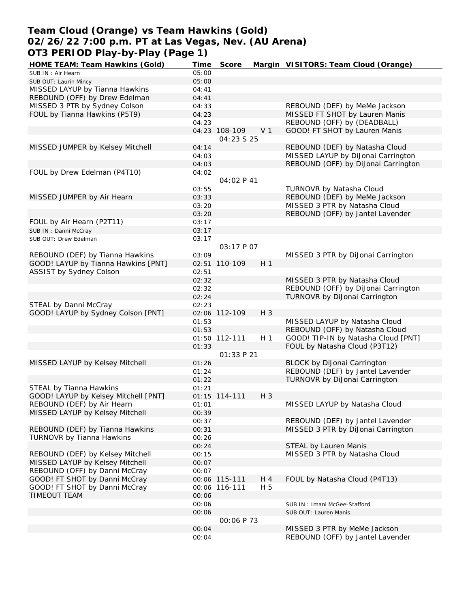### **Team Cloud (Orange) vs Team Hawkins (Gold) 02/26/22 7:00 p.m. PT at Las Vegas, Nev. (AU Arena) OT3 PERIOD Play-by-Play (Page 1)**

| HOME TEAM: Team Hawkins (Gold)       | Time  | Score         |                | Margin VISITORS: Team Cloud (Orange) |
|--------------------------------------|-------|---------------|----------------|--------------------------------------|
| SUB IN: Air Hearn                    | 05:00 |               |                |                                      |
| SUB OUT: Laurin Mincy                | 05:00 |               |                |                                      |
| MISSED LAYUP by Tianna Hawkins       | 04:41 |               |                |                                      |
| REBOUND (OFF) by Drew Edelman        | 04:41 |               |                |                                      |
| MISSED 3 PTR by Sydney Colson        | 04:33 |               |                | REBOUND (DEF) by MeMe Jackson        |
| FOUL by Tianna Hawkins (P5T9)        | 04:23 |               |                | MISSED FT SHOT by Lauren Manis       |
|                                      | 04:23 |               |                | REBOUND (OFF) by (DEADBALL)          |
|                                      |       | 04:23 108-109 | V <sub>1</sub> | GOOD! FT SHOT by Lauren Manis        |
|                                      |       | 04:23 S 25    |                |                                      |
| MISSED JUMPER by Kelsey Mitchell     | 04:14 |               |                | REBOUND (DEF) by Natasha Cloud       |
|                                      |       |               |                | MISSED LAYUP by DiJonai Carrington   |
|                                      | 04:03 |               |                |                                      |
|                                      | 04:03 |               |                | REBOUND (OFF) by DiJonai Carrington  |
| FOUL by Drew Edelman (P4T10)         | 04:02 |               |                |                                      |
|                                      |       | 04:02 P 41    |                |                                      |
|                                      | 03:55 |               |                | <b>TURNOVR by Natasha Cloud</b>      |
| MISSED JUMPER by Air Hearn           | 03:33 |               |                | REBOUND (DEF) by MeMe Jackson        |
|                                      | 03:20 |               |                | MISSED 3 PTR by Natasha Cloud        |
|                                      | 03:20 |               |                | REBOUND (OFF) by Jantel Lavender     |
| FOUL by Air Hearn (P2T11)            | 03:17 |               |                |                                      |
| SUB IN: Danni McCray                 | 03:17 |               |                |                                      |
| SUB OUT: Drew Edelman                | 03:17 |               |                |                                      |
|                                      |       | 03:17 P 07    |                |                                      |
| REBOUND (DEF) by Tianna Hawkins      | 03:09 |               |                | MISSED 3 PTR by DiJonai Carrington   |
| GOOD! LAYUP by Tianna Hawkins [PNT]  |       | 02:51 110-109 | H <sub>1</sub> |                                      |
| ASSIST by Sydney Colson              |       |               |                |                                      |
|                                      | 02:51 |               |                |                                      |
|                                      | 02:32 |               |                | MISSED 3 PTR by Natasha Cloud        |
|                                      | 02:32 |               |                | REBOUND (OFF) by DiJonai Carrington  |
|                                      | 02:24 |               |                | TURNOVR by DiJonai Carrington        |
| STEAL by Danni McCray                | 02:23 |               |                |                                      |
| GOOD! LAYUP by Sydney Colson [PNT]   |       | 02:06 112-109 | $H_3$          |                                      |
|                                      | 01:53 |               |                | MISSED LAYUP by Natasha Cloud        |
|                                      | 01:53 |               |                | REBOUND (OFF) by Natasha Cloud       |
|                                      |       | 01:50 112-111 | H <sub>1</sub> | GOOD! TIP-IN by Natasha Cloud [PNT]  |
|                                      | 01:33 |               |                | FOUL by Natasha Cloud (P3T12)        |
|                                      |       | 01:33 P 21    |                |                                      |
| MISSED LAYUP by Kelsey Mitchell      | 01:26 |               |                | <b>BLOCK by DiJonai Carrington</b>   |
|                                      | 01:24 |               |                | REBOUND (DEF) by Jantel Lavender     |
|                                      | 01:22 |               |                | TURNOVR by DiJonai Carrington        |
| STEAL by Tianna Hawkins              | 01:21 |               |                |                                      |
| GOOD! LAYUP by Kelsey Mitchell [PNT] |       | 01:15 114-111 | $H_3$          |                                      |
|                                      |       |               |                |                                      |
| REBOUND (DEF) by Air Hearn           | 01:01 |               |                | MISSED LAYUP by Natasha Cloud        |
| MISSED LAYUP by Kelsey Mitchell      | 00:39 |               |                |                                      |
|                                      | 00:37 |               |                | REBOUND (DEF) by Jantel Lavender     |
| REBOUND (DEF) by Tianna Hawkins      | 00:31 |               |                | MISSED 3 PTR by DiJonai Carrington   |
| TURNOVR by Tianna Hawkins            | 00:26 |               |                |                                      |
|                                      | 00:24 |               |                | STEAL by Lauren Manis                |
| REBOUND (DEF) by Kelsey Mitchell     | 00:15 |               |                | MISSED 3 PTR by Natasha Cloud        |
| MISSED LAYUP by Kelsey Mitchell      | 00:07 |               |                |                                      |
| REBOUND (OFF) by Danni McCray        | 00:07 |               |                |                                      |
| GOOD! FT SHOT by Danni McCray        |       | 00:06 115-111 | H 4            | FOUL by Natasha Cloud (P4T13)        |
| GOOD! FT SHOT by Danni McCray        |       | 00:06 116-111 | H 5            |                                      |
| TIMEOUT TEAM                         | 00:06 |               |                |                                      |
|                                      | 00:06 |               |                | SUB IN: Imani McGee-Stafford         |
|                                      | 00:06 |               |                | SUB OUT: Lauren Manis                |
|                                      |       | 00:06 P 73    |                |                                      |
|                                      |       |               |                |                                      |
|                                      | 00:04 |               |                | MISSED 3 PTR by MeMe Jackson         |
|                                      | 00:04 |               |                | REBOUND (OFF) by Jantel Lavender     |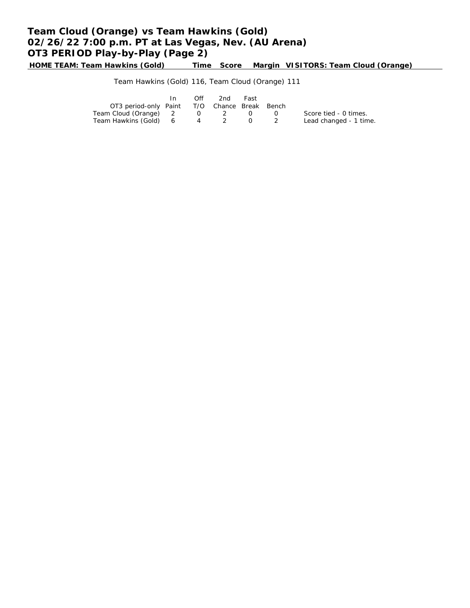# **Team Cloud (Orange) vs Team Hawkins (Gold) 02/26/22 7:00 p.m. PT at Las Vegas, Nev. (AU Arena) OT3 PERIOD Play-by-Play (Page 2)**

**HOME TEAM: Team Hawkins (Gold) Time Score Margin VISITORS: Team Cloud (Orange)**

Team Hawkins (Gold) 116, Team Cloud (Orange) 111

|                                              | In 1 | Off | -2nd | Fast |            |                        |
|----------------------------------------------|------|-----|------|------|------------|------------------------|
| OT3 period-only Paint T/O Chance Break Bench |      |     |      |      |            |                        |
| Team Cloud (Orange) 2 0 2 0                  |      |     |      |      | $\sqrt{ }$ | Score tied - 0 times.  |
| Team Hawkins (Gold) 6 4 2 0 2                |      |     |      |      |            | Lead changed - 1 time. |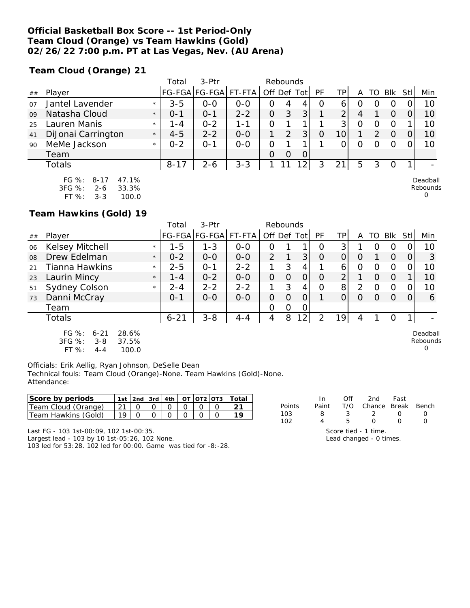### **Official Basketball Box Score -- 1st Period-Only Team Cloud (Orange) vs Team Hawkins (Gold) 02/26/22 7:00 p.m. PT at Las Vegas, Nev. (AU Arena)**

**Team Cloud (Orange) 21**

|    |                     |         | Total    | 3-Ptr         |         | Rebounds |          |     |          |    |   |    |            |     |          |
|----|---------------------|---------|----------|---------------|---------|----------|----------|-----|----------|----|---|----|------------|-----|----------|
| ## | Player              |         |          | FG-FGA FG-FGA | FT-FTA  | Off      | Def      | Tot | PF       | TΡ | Α | TO | <b>BIK</b> | Stl | Min      |
| 07 | Jantel Lavender     | $\star$ | $3 - 5$  | $0 - 0$       | $O - O$ | O        | 4        | 4   | $\Omega$ | 6  |   |    |            |     | 10       |
| 09 | Natasha Cloud       | $\star$ | $0 - 1$  | $O - 1$       | $2 - 2$ | 0        | 3        | 3   |          | ⌒  | 4 |    | O          |     | 10       |
| 25 | Lauren Manis        | $\star$ | $1 - 4$  | $0 - 2$       | 1 - 1   | 0        |          |     |          | 3  |   |    |            |     | 10       |
| 41 | DiJonai Carrington  | $\star$ | $4 - 5$  | $2 - 2$       | $0 - 0$ |          |          | 3   |          |    |   |    | $\Omega$   |     | 10       |
| 90 | MeMe Jackson        | $\star$ | $0 - 2$  | 0-1           | $0 - 0$ | Ω        |          |     |          |    |   |    |            |     | 10       |
|    | Team                |         |          |               |         | O        | $\Omega$ | 0   |          |    |   |    |            |     |          |
|    | <b>Totals</b>       |         | $8 - 17$ | $2 - 6$       | $3 - 3$ |          | -1       | 12  | 3        | 21 | 5 |    |            |     |          |
|    | FG %: 8-17<br>47.1% |         |          |               |         |          |          |     |          |    |   |    |            |     | Deadball |

3FG %: 2-6 33.3% FT %: 3-3 100.0 Rebounds  $\Omega$ 

**Team Hawkins (Gold) 19**

|    |                                                                                           |         | Total    | $3-Ptr$              |         |                |   |          |          |                 |          |                  |          |      |                           |
|----|-------------------------------------------------------------------------------------------|---------|----------|----------------------|---------|----------------|---|----------|----------|-----------------|----------|------------------|----------|------|---------------------------|
| ## | Player                                                                                    |         |          | FG-FGA FG-FGA FT-FTA |         | Off Def Tot    |   |          | PF       | TP <sub>1</sub> | A        |                  | TO BIK   | Stll | Min                       |
| 06 | Kelsey Mitchell                                                                           | $\star$ | $1 - 5$  | $1 - 3$              | $0 - 0$ | O              |   |          | Ω        | 31              |          | $\left( \right)$ | O        |      | 10                        |
| 08 | Drew Edelman                                                                              | $\star$ | $0 - 2$  | $0 - 0$              | $0 - 0$ | $\overline{2}$ |   | 3        | $\Omega$ | 0               | $\Omega$ |                  | $\Omega$ | 0    | 3                         |
| 21 | Tianna Hawkins                                                                            | $\star$ | $2 - 5$  | $O - 1$              | $2 - 2$ |                | 3 | 4        |          | 6               | 0        | $\Omega$         | 0        |      | 10                        |
| 23 | Laurin Mincy                                                                              | $\star$ | $1 - 4$  | $0 - 2$              | $0 - 0$ | O              | O | $\Omega$ | Ο        | $\overline{2}$  |          | $\Omega$         | $\Omega$ |      | 10                        |
| 51 | Sydney Colson                                                                             | $\star$ | $2 - 4$  | $2 - 2$              | $2 - 2$ | 1              | 3 | 4        | Ο        | 8 <sup>1</sup>  | 2        | O                | $\Omega$ |      | 10                        |
| 73 | Danni McCray                                                                              |         | $0 - 1$  | $O-O$                | $0-0$   | 0              | O | 0        |          | 0               | 0        | 0                | $\Omega$ |      | 6                         |
|    | Team                                                                                      |         |          |                      |         | 0              | Ο | 0        |          |                 |          |                  |          |      |                           |
|    | Totals                                                                                    |         | $6 - 21$ | $3 - 8$              | $4 - 4$ | 4              | 8 | 12       | 2        | 19              | 4        |                  | O        |      |                           |
|    | $FG \%$ :<br>28.6%<br>$6 - 21$<br>3FG %:<br>37.5%<br>$3 - 8$<br>FT %:<br>100.0<br>$4 - 4$ |         |          |                      |         |                |   |          |          |                 |          |                  |          |      | Deadball<br>Rebounds<br>O |

Officials: Erik Aellig, Ryan Johnson, DeSelle Dean Technical fouls: Team Cloud (Orange)-None. Team Hawkins (Gold)-None. Attendance:

| <b>Score by periods</b> |  |  |  | $1st$   2nd   3rd   4th   OT   OT2   OT3   $\overline{1}$ |  |
|-------------------------|--|--|--|-----------------------------------------------------------|--|
| Team Cloud (Orange)     |  |  |  |                                                           |  |
| I Team Hawkins (Gold)   |  |  |  |                                                           |  |

|        | In.   | Off | 2nd                    | Fast |  |
|--------|-------|-----|------------------------|------|--|
| Points | Paint |     | T/O Chance Break Bench |      |  |
| 103    | 8     | 3   | - 2 -                  |      |  |
| 102.   |       | Б.  | $\left( \right)$       |      |  |
|        |       |     | Score tied - 1 time.   |      |  |

Last FG - 103 1st-00:09, 102 1st-00:35. Largest lead - 103 by 10 1st-05:26, 102 None.

103 led for 53:28. 102 led for 00:00. Game was tied for -8:-28.

Lead changed - 0 times.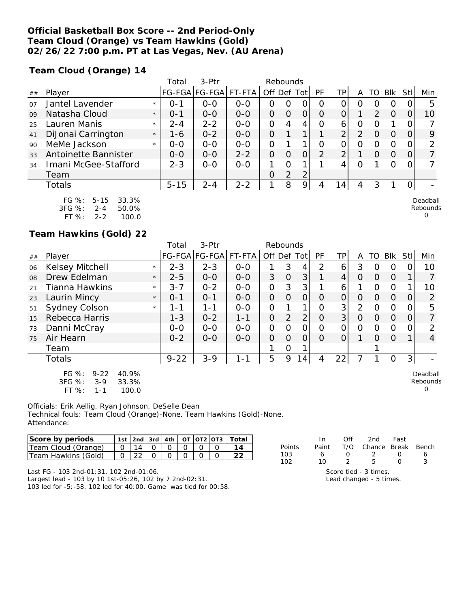### **Official Basketball Box Score -- 2nd Period-Only Team Cloud (Orange) vs Team Hawkins (Gold) 02/26/22 7:00 p.m. PT at Las Vegas, Nev. (AU Arena)**

**Team Cloud (Orange) 14**

|                |                                                              |         | Total    | $3-$ Ptr              |         | Rebounds |   |                |          |                |   |               |            |     |                      |
|----------------|--------------------------------------------------------------|---------|----------|-----------------------|---------|----------|---|----------------|----------|----------------|---|---------------|------------|-----|----------------------|
| ##             | Player                                                       |         |          | FG-FGA FG-FGA  FT-FTA |         | Off      |   | Def Tot        | PF       | TP.            | Α | TO            | <b>Blk</b> | Stl | Min                  |
| O <sub>7</sub> | Jantel Lavender                                              | $\star$ | $O - 1$  | $0 - 0$               | $0 - 0$ | Ο        | Ω |                | O        | 0              | 0 | ( )           | $\Omega$   |     | 5                    |
| 09             | Natasha Cloud                                                | $\star$ | $0 - 1$  | $0 - 0$               | $0 - 0$ | 0        | O | 0              | $\Omega$ | 0              |   | $\mathcal{P}$ | $\Omega$   |     | 10                   |
| 25             | Lauren Manis                                                 | $\star$ | $2 - 4$  | $2 - 2$               | $0 - 0$ | O        | 4 | 4              | Ω        | 6              | 0 | $\left($      |            |     |                      |
| 41             | DiJonai Carrington                                           | $\star$ | 1-6      | $0 - 2$               | $0 - 0$ | Ο        |   | 1              |          | $\overline{2}$ | 2 | O             | $\Omega$   |     | 9                    |
| 90             | MeMe Jackson                                                 | $\star$ | $0 - 0$  | $0 - 0$               | $0 - 0$ | 0        |   |                | 0        | 0              | 0 | O             | 0          |     | ⌒                    |
| 33             | Antoinette Bannister                                         |         | $0 - 0$  | $0-0$                 | $2 - 2$ | O        | O |                | 2        | 2              |   | O             | $\Omega$   |     |                      |
| 34             | Imani McGee-Stafford                                         |         | $2 - 3$  | $0-0$                 | $0 - 0$ |          | Ω | 1              |          | 4              | Ω |               | $\Omega$   |     |                      |
|                | Team                                                         |         |          |                       |         | Ο        | 2 | $\overline{2}$ |          |                |   |               |            |     |                      |
|                | Totals                                                       |         | $5 - 15$ | $2 - 4$               | $2 - 2$ | 1        | 8 | 9              | 4        | 14             | 4 | 3             |            |     |                      |
|                | FG %:<br>$5 - 15$<br>33.3%<br>$3FG \%$ :<br>50.0%<br>$2 - 4$ |         |          |                       |         |          |   |                |          |                |   |               |            |     | Deadball<br>Rebounds |

| .          | $\cdot$<br>. | . <i>.</i> . |
|------------|--------------|--------------|
| $3FG \%$ : | 2-4          | 50.0%        |
| FT $\%$ :  | 2-2          | 100.0        |

### **Team Hawkins (Gold) 22**

|    |                                                                           |         | Total    | 3-Ptr         |         | Rebounds       |          |                |          |                |                |          |             |          |                           |
|----|---------------------------------------------------------------------------|---------|----------|---------------|---------|----------------|----------|----------------|----------|----------------|----------------|----------|-------------|----------|---------------------------|
| ## | Player                                                                    |         |          | FG-FGA FG-FGA | FT-FTA  | Off Def Tot    |          |                | PF       | TP             | A              | TO       | Blk         | Stll     | Min                       |
| 06 | Kelsey Mitchell                                                           | $\star$ | $2 - 3$  | $2 - 3$       | $0 - 0$ |                | 3        | 4              | 2        | 6              | 3              | Ω        | O           | 0        | 10                        |
| 08 | Drew Edelman                                                              | $\star$ | $2 - 5$  | $0-0$         | $0-0$   | 3              | $\Omega$ | 3              |          | 4              | $\Omega$       | O        | $\Omega$    |          |                           |
| 21 | Tianna Hawkins                                                            | $\star$ | $3 - 7$  | $0 - 2$       | $0-0$   | $\overline{O}$ | 3        | 3              |          | 6              |                | 0        | $\Omega$    |          | 10                        |
| 23 | Laurin Mincy                                                              | $\star$ | $0 - 1$  | $0 - 1$       | $O - O$ | $\overline{O}$ | $\Omega$ | $\overline{O}$ | $\Omega$ | $\Omega$       | $\Omega$       | 0        | $\Omega$    | $\Omega$ | 2                         |
| 51 | Sydney Colson                                                             | $\star$ | 1-1      | $1 - 1$       | $0-0$   | $\overline{O}$ |          | 1              | 0        | 3              | 2              | O        | $\Omega$    | 0        | 5                         |
| 15 | Rebecca Harris                                                            |         | $1 - 3$  | $0 - 2$       | $1 - 1$ | $\mathcal{O}$  | 2        | $\overline{2}$ | 0        | 3 <sup>1</sup> | $\overline{O}$ | O        | $\Omega$    | 0        | 7                         |
| 73 | Danni McCray                                                              |         | $0-0$    | $0-0$         | $O-O$   | O              | O        | $\overline{O}$ | Ω        | O              | 0              | O        | $\Omega$    | $\Omega$ | $\mathcal{P}$             |
| 75 | Air Hearn                                                                 |         | $0 - 2$  | $0 - 0$       | $O - O$ | $\Omega$       | $\Omega$ | $\Omega$       | $\Omega$ | 0              |                | $\Omega$ | $\Omega$    |          | $\overline{4}$            |
|    | Team                                                                      |         |          |               |         |                | 0        |                |          |                |                |          |             |          |                           |
|    | <b>Totals</b>                                                             |         | $9 - 22$ | $3 - 9$       | $1 - 1$ | 5              | 9        | 14             | 4        | 22             |                |          | $\mathbf 0$ | 3        |                           |
|    | FG $%$ :<br>$9 - 22$<br>40.9%<br>3FG %:<br>$3-9$<br>33.3%<br>FT %:<br>1-1 | 100.0   |          |               |         |                |          |                |          |                |                |          |             |          | Deadball<br>Rebounds<br>O |

Officials: Erik Aellig, Ryan Johnson, DeSelle Dean Technical fouls: Team Cloud (Orange)-None. Team Hawkins (Gold)-None. Attendance:

| Score by periods    |  |  |  | 1st   2nd   3rd   4th   0T   0T2   0T3   Total |
|---------------------|--|--|--|------------------------------------------------|
| Team Cloud (Orange) |  |  |  |                                                |
| Team Hawkins (Gold) |  |  |  |                                                |

|        | In.   | Off. | 2nd                     | Fast |   |
|--------|-------|------|-------------------------|------|---|
| Points | Paint |      | T/O Chance Break Bench  |      |   |
| 103    |       |      |                         |      |   |
| 102    | 10    | 2    | 5                       |      | २ |
|        |       |      | Score tied - 3 times.   |      |   |
|        |       |      | Lead changed - 5 times. |      |   |

0

Last FG - 103 2nd-01:31, 102 2nd-01:06.

Largest lead - 103 by 10 1st-05:26, 102 by 7 2nd-02:31. 103 led for -5:-58. 102 led for 40:00. Game was tied for 00:58.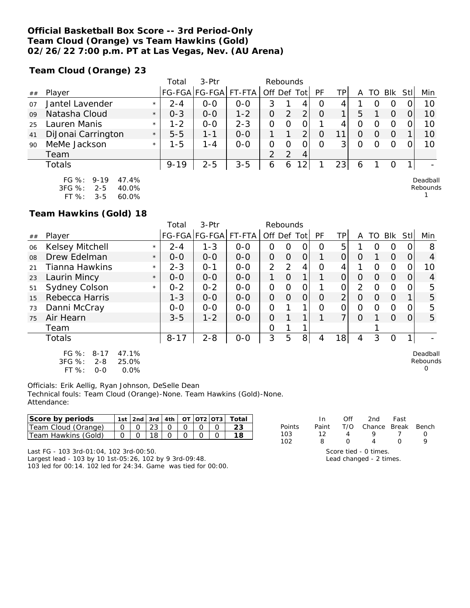### **Official Basketball Box Score -- 3rd Period-Only Team Cloud (Orange) vs Team Hawkins (Gold) 02/26/22 7:00 p.m. PT at Las Vegas, Nev. (AU Arena)**

**Team Cloud (Orange) 23**

|    |                         |         | Total    | 3-Ptr         |         |                | Rebounds       |     |          |    |   |     |                  |     |          |
|----|-------------------------|---------|----------|---------------|---------|----------------|----------------|-----|----------|----|---|-----|------------------|-----|----------|
| ## | Player                  |         | FG-FGA   | <b>FG-FGA</b> | FT-FTA  |                | Off Def        | Tot | PF       | TР | Α | TO  | <b>BIK</b>       | Stl | Min      |
| 07 | Jantel Lavender         | $\star$ | $2 - 4$  | $0 - 0$       | $0 - 0$ | 3              |                | 4   | O        | 4  |   | ( ) | $\left( \right)$ | O   | 10       |
| 09 | Natasha Cloud           | $\star$ | $0 - 3$  | $0-0$         | $1 - 2$ | 0              | 2              | 2   | $\Omega$ |    | 5 |     | O                | 0   | 10       |
| 25 | Lauren Manis            | $\star$ | $1 - 2$  | $0 - 0$       | $2 - 3$ | 0              |                |     |          | 4  | 0 | O   | O                | 0   | 10       |
| 41 | DiJonai Carrington      | $\star$ | $5 - 5$  | $1 - 1$       | $0 - 0$ |                |                | ⌒   | O        |    | 0 | O   | O                |     | 10       |
| 90 | MeMe Jackson            | $\star$ | $1 - 5$  | $1 - 4$       | $O-O$   | 0              | Ω              |     | Ω        | 3  | Ο | Ω   | $\Omega$         | 0   | 10       |
|    | Team                    |         |          |               |         | $\overline{2}$ | $\overline{2}$ | 4   |          |    |   |     |                  |     |          |
|    | <b>Totals</b>           |         | $9 - 19$ | $2 - 5$       | $3 - 5$ | 6              | 6              | 12  |          | 23 | 6 |     | O                |     |          |
|    | FG $\%$ : 9-19<br>47.4% |         |          |               |         |                |                |     |          |    |   |     |                  |     | Deadball |

3FG %: 2-5 40.0% FT %: 3-5 60.0%

Deadball Rebounds

1

 $\overline{0}$ 

**Team Hawkins (Gold) 18**

|    |                                                            |         | Total    | $3-Ptr$       |         | Rebounds       |          |                |    |                |                |          |          |     |                      |
|----|------------------------------------------------------------|---------|----------|---------------|---------|----------------|----------|----------------|----|----------------|----------------|----------|----------|-----|----------------------|
| ## | Player                                                     |         |          | FG-FGA FG-FGA | FT-FTA  | Off Def        |          | Totl           | PF | ΤP             | A              | TO       | Blk      | Stl | Min                  |
| 06 | Kelsey Mitchell                                            | $\star$ | $2 - 4$  | $1 - 3$       | $0 - 0$ | 0              | 0        |                | Ω  | 5              |                | Ω        | O        |     | 8                    |
| 08 | Drew Edelman                                               | $\star$ | $0 - 0$  | $0 - 0$       | $0 - 0$ | $\overline{O}$ | $\Omega$ | 0              |    | 0              | O              |          | $\Omega$ |     | 4                    |
| 21 | Tianna Hawkins                                             | $\star$ | $2 - 3$  | $O - 1$       | $0 - 0$ | 2              | 2        | 4              | Ω  | 4              |                | $\Omega$ | $\Omega$ |     | 10                   |
| 23 | Laurin Mincy                                               | $\star$ | $0-0$    | $0-0$         | $0-0$   | 1.             | 0        | 1 <sub>1</sub> |    | $\overline{O}$ | $\Omega$       | $\Omega$ | $\Omega$ |     | 4                    |
| 51 | Sydney Colson                                              | $\star$ | $0 - 2$  | $0 - 2$       | $0 - 0$ | O              | $\Omega$ | Ο              |    | Οl             | $\overline{2}$ | $\Omega$ | $\Omega$ |     | 5                    |
| 15 | Rebecca Harris                                             |         | $1 - 3$  | $0 - 0$       | $0 - 0$ | O              | $\Omega$ | 0              | Ο  | $\overline{2}$ | $\Omega$       | $\Omega$ | $\Omega$ |     | 5                    |
| 73 | Danni McCray                                               |         | $0-0$    | $O-O$         | $0-0$   | 0              |          |                | O  | 0              | 0              | 0        | $\Omega$ |     | 5                    |
| 75 | Air Hearn                                                  |         | $3 - 5$  | $1 - 2$       | $0 - 0$ | O              |          | 1              |    | 7 <sub>1</sub> | O              |          | $\Omega$ |     | 5                    |
|    | Team                                                       |         |          |               |         | 0              |          |                |    |                |                |          |          |     |                      |
|    | Totals                                                     |         | $8 - 17$ | $2 - 8$       | $O-O$   | 3              | 5        | 8 <sup>1</sup> | 4  | 18             | 4              | 3        | 0        |     |                      |
|    | FG %:<br>47.1%<br>$8 - 17$<br>$3FG \%$<br>$2 - 8$<br>25.0% |         |          |               |         |                |          |                |    |                |                |          |          |     | Deadball<br>Rebounds |

3FG %: 2-8 25.0% FT %: 0-0 0.0%

Officials: Erik Aellig, Ryan Johnson, DeSelle Dean Technical fouls: Team Cloud (Orange)-None. Team Hawkins (Gold)-None. Attendance:

| Score by periods     |  |  |  | 1st   2nd   3rd   4th   OT   OT2   OT3   Total |
|----------------------|--|--|--|------------------------------------------------|
| ITeam Cloud (Orange) |  |  |  |                                                |
| lTeam Hawkins (Gold) |  |  |  |                                                |

Last FG - 103 3rd-01:04, 102 3rd-00:50.

Largest lead - 103 by 10 1st-05:26, 102 by 9 3rd-09:48. 103 led for 00:14. 102 led for 24:34. Game was tied for 00:00.

|        | In.   | Off              | 2nd                                           | Fast |  |
|--------|-------|------------------|-----------------------------------------------|------|--|
| Points | Paint |                  | T/O Chance Break Bench                        |      |  |
| 103    | 12    |                  |                                               |      |  |
| 102.   | я     | $\left( \right)$ |                                               |      |  |
|        |       |                  | Score tied - 0 times.<br>Load changed 2 times |      |  |

Lead changed - 2 times.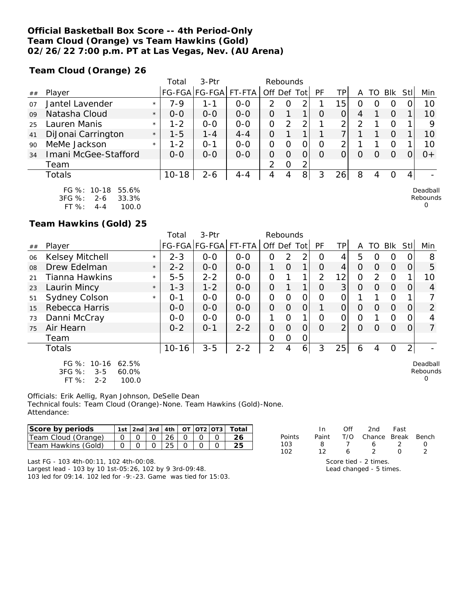### **Official Basketball Box Score -- 4th Period-Only Team Cloud (Orange) vs Team Hawkins (Gold) 02/26/22 7:00 p.m. PT at Las Vegas, Nev. (AU Arena)**

**Team Cloud (Orange) 26**

|    |                                                    |         | Total     | $3-Ptr$       |         |                | Rebounds |      |          |          |   |    |            |      |                      |
|----|----------------------------------------------------|---------|-----------|---------------|---------|----------------|----------|------|----------|----------|---|----|------------|------|----------------------|
| ## | Player                                             |         |           | FG-FGA FG-FGA | FT-FTA  | Off Def        |          | Totl | PF       | TPI      | Α | TO | <b>BIK</b> | Stll | Min                  |
| 07 | Jantel Lavender                                    | $\star$ | $7 - 9$   | 1 - 1         | $0 - 0$ | 2              | O        | 2    |          | 15       | O |    | O          |      | 10                   |
| 09 | Natasha Cloud                                      | $\star$ | $0 - 0$   | $0 - 0$       | $0 - 0$ | 0              |          | ┒    | O        | 0        | 4 |    | $\Omega$   |      | 10                   |
| 25 | Lauren Manis                                       | $\star$ | $1 - 2$   | $0 - 0$       | $0 - 0$ | O              | 2        | 2    |          | ⌒        | っ |    | O          |      | 9                    |
| 41 | DiJonai Carrington                                 | $\star$ | $1 - 5$   | $1 - 4$       | $4 - 4$ | O              |          |      |          | 7        |   |    | O          |      | 10                   |
| 90 | MeMe Jackson                                       | $\star$ | $1 - 2$   | 0-1           | $0-0$   | $\overline{O}$ | 0        | 0    | O        | 2        |   |    | O          |      | 10                   |
| 34 | Imani McGee-Stafford                               |         | $0 - 0$   | $0 - 0$       | $0 - 0$ | 0              | $\Omega$ | 0    | $\Omega$ | $\Omega$ | O | Ω  | $\Omega$   |      | $0+$                 |
|    | Team                                               |         |           |               |         | $\mathcal{P}$  | $\circ$  | 2    |          |          |   |    |            |      |                      |
|    | Totals                                             |         | $10 - 18$ | $2 - 6$       | $4 - 4$ | 4              | 4        | 8    | 3        | 26       | 8 | 4  | O          | 4    |                      |
|    | FG %: 10-18<br>55.6%<br>3FG %:<br>33.3%<br>$2 - 6$ |         |           |               |         |                |          |      |          |          |   |    |            |      | Deadball<br>Rebounds |

 $\Omega$ 

**Team Hawkins (Gold) 25**

FT %: 4-4 100.0

|    |                                                                               |         | Total     | 3-Ptr           | Rebounds |                |          |                |          |    |                |    |                |      |                           |
|----|-------------------------------------------------------------------------------|---------|-----------|-----------------|----------|----------------|----------|----------------|----------|----|----------------|----|----------------|------|---------------------------|
| ## | Player                                                                        |         |           | FG-FGA   FG-FGA | FT-FTA   | Off Def        |          | Totl           | PF       | TP | A              | TO | <b>Blk</b>     | Stll | Min                       |
| 06 | Kelsey Mitchell                                                               | $\star$ | $2 - 3$   | $O-O$           | $0-0$    | O              | 2        | 2              | $\Omega$ | 4  | 5              | Ω  | 0              |      | 8                         |
| 08 | Drew Edelman                                                                  | $\star$ | $2 - 2$   | $0 - 0$         | $0 - 0$  |                | $\Omega$ | 1              | 0        | 4  | O              | Ω  | $\Omega$       | Ω    | 5                         |
| 21 | Tianna Hawkins                                                                | $\star$ | $5 - 5$   | $2 - 2$         | $0-0$    | O              |          | 1              | 2        | 12 | $\overline{O}$ | 2  | $\Omega$       |      | 10                        |
| 23 | Laurin Mincy                                                                  | $\star$ | $1 - 3$   | $1 - 2$         | $0 - 0$  | $\Omega$       |          | 1              | 0        | 3  | $\circ$        | O  | $\Omega$       | Ο    | 4                         |
| 51 | Sydney Colson                                                                 | $\star$ | $O - 1$   | $O-O$           | $0-0$    | $\overline{O}$ | $\Omega$ | 0              | Ω        | 0  |                |    | 0              |      |                           |
| 15 | Rebecca Harris                                                                |         | $0 - 0$   | $0 - 0$         | $0 - 0$  | $\overline{O}$ | $\Omega$ | 0              |          | 0  | O              | O  | $\Omega$       | Ο    | 2                         |
| 73 | Danni McCray                                                                  |         | $0-0$     | $O-O$           | $O-O$    | 1              | $\Omega$ | 1              | $\Omega$ | O  | 0              |    | 0              | Ω    | 4                         |
| 75 | Air Hearn                                                                     |         | $0 - 2$   | $0 - 1$         | $2 - 2$  | $\mathcal{O}$  | 0        | 0              | $\Omega$ | 2  | O              | Ω  | $\Omega$       |      | $\overline{7}$            |
|    | Team                                                                          |         |           |                 |          | O              | O        | 0              |          |    |                |    |                |      |                           |
|    | <b>Totals</b>                                                                 |         | $10 - 16$ | $3 - 5$         | $2 - 2$  | $\overline{2}$ | 4        | 6 <sup>1</sup> | 3        | 25 | 6              | 4  | $\overline{O}$ | 2    |                           |
|    | FG %: 10-16<br>62.5%<br>3FG %:<br>60.0%<br>$3 - 5$<br>FT%<br>100.0<br>$2 - 2$ |         |           |                 |          |                |          |                |          |    |                |    |                |      | Deadball<br>Rebounds<br>O |

Officials: Erik Aellig, Ryan Johnson, DeSelle Dean Technical fouls: Team Cloud (Orange)-None. Team Hawkins (Gold)-None. Attendance:

| Score by periods    |  |    |  | ' 1st   2nd   3rd   4th   OT   OT2   OT3   Total |        |       | Off | 2nd          | Fast |       |
|---------------------|--|----|--|--------------------------------------------------|--------|-------|-----|--------------|------|-------|
| Team Cloud (Orange) |  | 26 |  |                                                  | Points | Paint | T/O | Chance Break |      | Bench |
| Team Hawkins (Gold) |  | 25 |  | 25                                               | 103    |       |     |              |      |       |
|                     |  |    |  |                                                  | 102    |       |     |              |      |       |

Last FG - 103 4th-00:11, 102 4th-00:08.

Largest lead - 103 by 10 1st-05:26, 102 by 9 3rd-09:48. 103 led for 09:14. 102 led for -9:-23. Game was tied for 15:03.

| ノ | Ь                       | 0 |
|---|-------------------------|---|
|   | Score tied - 2 times.   |   |
|   | Lead changed - 5 times. |   |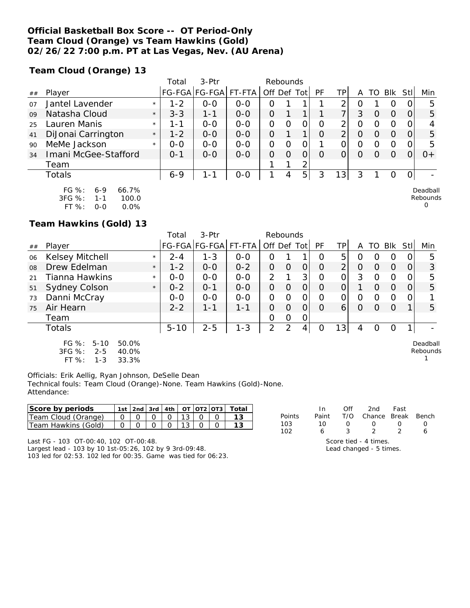### **Official Basketball Box Score -- OT Period-Only Team Cloud (Orange) vs Team Hawkins (Gold) 02/26/22 7:00 p.m. PT at Las Vegas, Nev. (AU Arena)**

**Team Cloud (Orange) 13**

|    |                                                             |         | Total   | $3-Ptr$       | Rebounds |                |          |      |          |                |   |                  |            |                |                      |
|----|-------------------------------------------------------------|---------|---------|---------------|----------|----------------|----------|------|----------|----------------|---|------------------|------------|----------------|----------------------|
| ## | Player                                                      |         |         | FG-FGA FG-FGA | FT-FTA   | Off Def        |          | Totl | PF       | TPI            | Α | TΟ               | <b>BIK</b> | Stll           | Min                  |
| 07 | Jantel Lavender                                             | $\star$ | $1 - 2$ | $0 - 0$       | $0 - 0$  | 0              |          |      |          | ⌒              | O |                  | O          | 0              | 5                    |
| 09 | Natasha Cloud                                               | $\star$ | $3 - 3$ | 1-1           | $0 - 0$  | $\overline{O}$ |          |      |          | 7 <sub>1</sub> | 3 | O                | $\Omega$   | 0              | 5                    |
| 25 | Lauren Manis                                                | $\star$ | 1 - 1   | $0 - 0$       | $0 - 0$  | 0              | O        | 0    | O        | 2              | O | $\left( \right)$ | O          |                |                      |
| 41 | DiJonai Carrington                                          | $\star$ | $1 - 2$ | $0 - 0$       | $0 - 0$  | 0              |          |      | O        | $\overline{2}$ | O | $\left( \right)$ | O          | 0              | 5                    |
| 90 | MeMe Jackson                                                | $\star$ | $0 - 0$ | $0 - 0$       | $0 - 0$  | $\overline{O}$ | 0        | 0    |          | 0              | O | Ω                | O          | 0              | 5                    |
| 34 | Imani McGee-Stafford                                        |         | $O - 1$ | $0 - 0$       | $0 - 0$  | 0              | $\Omega$ | 0    | $\Omega$ | $\Omega$       | O | Ω                | $\Omega$   |                | $0+$                 |
|    | Team                                                        |         |         |               |          |                |          | 2    |          |                |   |                  |            |                |                      |
|    | Totals                                                      |         | $6 - 9$ | $1 - 1$       | $0-0$    |                | 4        | 5    | 3        | 3              | 3 |                  | O          | $\overline{O}$ |                      |
|    | $FG \%$ :<br>66.7%<br>$6 - 9$<br>3FG %:<br>100.0<br>$1 - 1$ |         |         |               |          |                |          |      |          |                |   |                  |            |                | Deadball<br>Rebounds |

FT %: 0-0 0.0%

**Team Hawkins (Gold) 13**

|    |                                                                                                       |         | Total    | 3-Ptr                |         | Rebounds       |          |             |          |     |   |    |                |     |                      |
|----|-------------------------------------------------------------------------------------------------------|---------|----------|----------------------|---------|----------------|----------|-------------|----------|-----|---|----|----------------|-----|----------------------|
| ## | Player                                                                                                |         |          | FG-FGA FG-FGA FT-FTA |         | Off Def        |          | Totl        | PF       | TP. | A | TO | <b>BIK</b>     | Stl | Min                  |
| 06 | Kelsey Mitchell                                                                                       | $\star$ | $2 - 4$  | $1 - 3$              | $0-0$   | 0              |          |             | 0        | 5   | O | 0  | 0              |     | 5                    |
| 08 | Drew Edelman                                                                                          | $\star$ | $1 - 2$  | $0-0$                | $0 - 2$ | 0              | O        | O           | $\Omega$ | ⌒   | 0 | Ω  | $\overline{O}$ |     | 3                    |
| 21 | Tianna Hawkins                                                                                        | $\star$ | $0-0$    | $O-O$                | $0 - 0$ | $\overline{2}$ |          | 3           | 0        |     | 3 | Ω  | 0              |     | 5                    |
| 51 | <b>Sydney Colson</b>                                                                                  | $\star$ | $0 - 2$  | $O - 1$              | $0-0$   | 0              | O        | 0           | O        |     |   | Ω  | $\Omega$       | 0   | 5                    |
| 73 | Danni McCray                                                                                          |         | $0 - 0$  | $0 - 0$              | $O - O$ | 0              | $\Omega$ | Ω           | Ω        | Ο   | 0 | Ω  | $\overline{0}$ | 0   |                      |
| 75 | Air Hearn                                                                                             |         | $2 - 2$  | $1 - 1$              | $1 - 1$ | 0              | $\Omega$ | O           | $\Omega$ | 6   | 0 | Ω  | $\Omega$       |     | 5                    |
|    | Team                                                                                                  |         |          |                      |         | 0              | O        | 0           |          |     |   |    |                |     |                      |
|    | Totals                                                                                                |         | $5 - 10$ | $2 - 5$              | $1 - 3$ | 2              | 2        | $4^{\circ}$ | Ο        | 131 | 4 | Ο  | 0              |     |                      |
|    | FG $%$ :<br>$5 - 10$<br>50.0%<br>3FG %:<br>$2 - 5$<br>40.0%<br>$LT$ $O$ .<br>22.202<br>1 <sub>2</sub> |         |          |                      |         |                |          |             |          |     |   |    |                |     | Deadball<br>Rebounds |

FT %: 1-3 33.3%

Officials: Erik Aellig, Ryan Johnson, DeSelle Dean Technical fouls: Team Cloud (Orange)-None. Team Hawkins (Gold)-None. Attendance:

| Score by periods     |  |  |  | $1st$   2nd   3rd   4th   OT   OT2   OT3 |  |
|----------------------|--|--|--|------------------------------------------|--|
| Team Cloud (Orange)  |  |  |  |                                          |  |
| ITeam Hawkins (Gold) |  |  |  |                                          |  |

Last FG - 103 OT-00:40, 102 OT-00:48. Largest lead - 103 by 10 1st-05:26, 102 by 9 3rd-09:48. 103 led for 02:53. 102 led for 00:35. Game was tied for 06:23.

|        | In.   | Off | 2nd                                              | Fast          |   |
|--------|-------|-----|--------------------------------------------------|---------------|---|
| Points | Paint | T/O | Chance Break Bench                               |               |   |
| 103    | 10    |     |                                                  |               |   |
| 102    | 6     | 3   | $\mathcal{P}$                                    | $\mathcal{P}$ | 6 |
|        |       |     | Score tied - 4 times.<br>Lead changed - 5 times. |               |   |

 $\Omega$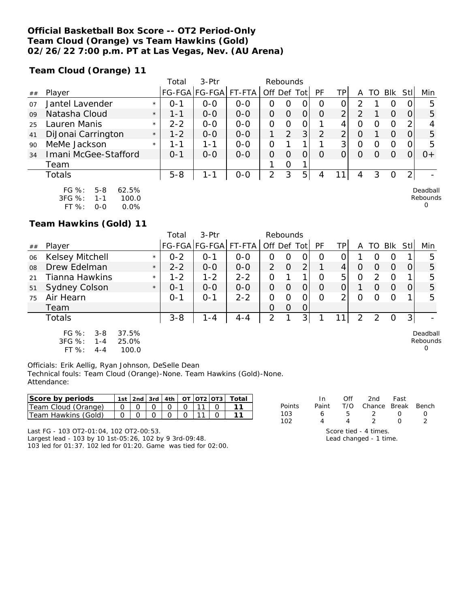### **Official Basketball Box Score -- OT2 Period-Only Team Cloud (Orange) vs Team Hawkins (Gold) 02/26/22 7:00 p.m. PT at Las Vegas, Nev. (AU Arena)**

**Team Cloud (Orange) 11**

|    |                                                                                                                                       |         | Total   | $3-$ Ptr      |         |                | Rebounds |                |           |                |          |    |     |                |                                  |
|----|---------------------------------------------------------------------------------------------------------------------------------------|---------|---------|---------------|---------|----------------|----------|----------------|-----------|----------------|----------|----|-----|----------------|----------------------------------|
| ## | Player                                                                                                                                |         |         | FG-FGA FG-FGA | FT-FTA  | Off Def Tot    |          |                | <b>PF</b> | TPI            | Α        | TO | Blk | Stll           | Min                              |
| 07 | Jantel Lavender                                                                                                                       | $\star$ | $0 - 1$ | $0 - 0$       | $0 - 0$ | 0              | O        | O              | O         | 0              | っ        |    | O   | 0              | 5                                |
| 09 | Natasha Cloud                                                                                                                         | $\star$ | 1-1     | $0 - 0$       | $0 - 0$ | 0              | $\Omega$ | $\overline{O}$ | O         | $\overline{2}$ | 2        |    | O   | 0              | 5                                |
| 25 | Lauren Manis                                                                                                                          | $\star$ | $2 - 2$ | $0 - 0$       | $0 - 0$ | O              | 0        | 0              |           | 4              | $\Omega$ | O  | O   | $\mathbf{2}$   |                                  |
| 41 | DiJonai Carrington                                                                                                                    | $\star$ | $1 - 2$ | $0 - 0$       | $0 - 0$ | 1              | 2        | 3              | 2         | $\overline{2}$ | O        |    | O   | $\Omega$       | 5                                |
| 90 | MeMe Jackson                                                                                                                          | $\star$ | 1-1     | 1-1           | $0 - 0$ | $\overline{O}$ |          |                |           | 3 <sup>1</sup> | O        | Ω  | O   | 0              | 5                                |
| 34 | Imani McGee-Stafford                                                                                                                  |         | $O - 1$ | $0 - 0$       | $0 - 0$ | 0              | 0        | 0              | $\Omega$  | 0              | O        | O  | O   |                | $0+$                             |
|    | Team                                                                                                                                  |         |         |               |         |                | 0        |                |           |                |          |    |     |                |                                  |
|    | Totals                                                                                                                                |         | $5 - 8$ | $1 - 1$       | $0-0$   | 2              | 3        | 5              | 4         |                | 4        | 3  | O   | $\overline{2}$ |                                  |
|    | FG %:<br>$5 - 8$<br>62.5%<br>3FG %:<br>100.0<br>$1 - 1$<br>$CT O/L$ .<br>$\cap$ $\cap$ <sup><math>\circ</math></sup><br>$\cap$ $\cap$ |         |         |               |         |                |          |                |           |                |          |    |     |                | Deadball<br>Rebounds<br>$\Omega$ |

FT %: 0-0 0.0%

**Team Hawkins (Gold) 11**

|        |                                                         |                         | Total   | 3-Ptr                | Rebounds |               |                |                |    |    |                |               |             |                                  |
|--------|---------------------------------------------------------|-------------------------|---------|----------------------|----------|---------------|----------------|----------------|----|----|----------------|---------------|-------------|----------------------------------|
| $\#\#$ | Player                                                  |                         |         | FG-FGA FG-FGA FT-FTA |          | Off Def Tot   |                |                | PF | TP | A              |               | TO BIK StII | Min                              |
| 06     | <b>Kelsey Mitchell</b>                                  | $\star$                 | $0 - 2$ | 0-1                  | $0-0$    | Ο             | Ο              | 0              | 0  | 0. |                | O             | O           | 5                                |
| 08     | Drew Edelman                                            | $\star$                 | $2 - 2$ | $O-O$                | $0-0$    | $\mathcal{P}$ | $\overline{0}$ | 2 <sub>1</sub> |    | 4  | 0              | 0             | $\Omega$    | 5                                |
| 21     | Tianna Hawkins                                          | $\star$                 | $1 - 2$ | $1 - 2$              | $2 - 2$  | 0             |                |                | Ω  | 5  | $\overline{0}$ | $\mathcal{P}$ | $\Omega$    | 5                                |
| 51     | Sydney Colson                                           | $\star$                 | $0 - 1$ | $0 - 0$              | $0 - 0$  | 0             | O              | 0              | O  | 0  |                | $\Omega$      | $\Omega$    | 5                                |
| 75     | Air Hearn                                               |                         | $O - 1$ | $0 - 1$              | $2 - 2$  | ი             | Ω              | 0              | Ω  | ⌒  | 0              | Ω             | O           | 5                                |
|        | Team                                                    |                         |         |                      |          | 0             | O              | $\Omega$       |    |    |                |               |             |                                  |
|        | Totals                                                  |                         | $3 - 8$ | 1 - 4                | $4 - 4$  | 2             |                | 3              |    |    | 2              | 2             | 0           |                                  |
|        | FG %:<br>$3 - 8$<br>3FG %:<br>1 - 4<br>FT %:<br>$4 - 4$ | 37.5%<br>25.0%<br>100.0 |         |                      |          |               |                |                |    |    |                |               |             | Deadball<br>Rebounds<br>$\Omega$ |

Officials: Erik Aellig, Ryan Johnson, DeSelle Dean Technical fouls: Team Cloud (Orange)-None. Team Hawkins (Gold)-None. Attendance:

| Score by periods    |  |  |  | 1st   2nd   3rd   4th   OT   OT2   OT3   1 |  |
|---------------------|--|--|--|--------------------------------------------|--|
| Team Cloud (Orange) |  |  |  |                                            |  |
| Team Hawkins (Gold) |  |  |  |                                            |  |

|        | In In |   | Off 2nd Fast                                     |        |                  |
|--------|-------|---|--------------------------------------------------|--------|------------------|
| Points |       |   | Paint T/O Chance Break Bench                     |        |                  |
| 103    | 6.    |   | 5 2 0                                            |        | $\left( \right)$ |
| 102    | 4     | 4 | $\mathcal{L}$                                    | $\cap$ |                  |
|        |       |   | $\sim$ $\sim$ $\sim$ $\sim$ $\sim$ $\sim$ $\sim$ |        |                  |

Score tied - 4 times. Lead changed - 1 time.

Last FG - 103 OT2-01:04, 102 OT2-00:53. Largest lead - 103 by 10 1st-05:26, 102 by 9 3rd-09:48.

103 led for 01:37. 102 led for 01:20. Game was tied for 02:00.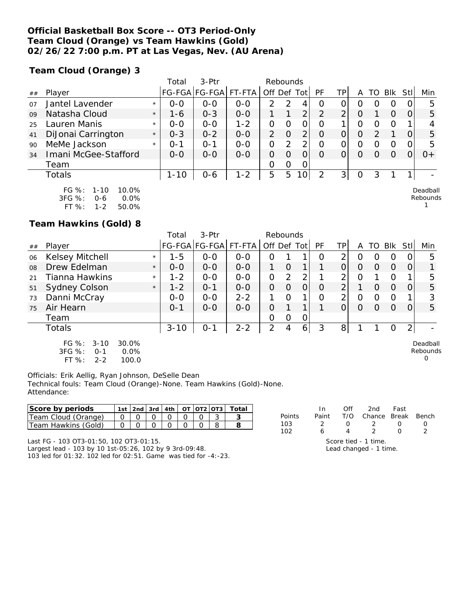### **Official Basketball Box Score -- OT3 Period-Only Team Cloud (Orange) vs Team Hawkins (Gold) 02/26/22 7:00 p.m. PT at Las Vegas, Nev. (AU Arena)**

**Team Cloud (Orange) 3**

|    |                                                         |         | Total    | 3-Ptr<br>Rebounds    |         |                |                |      |          |     |          |                  |            |      |                      |
|----|---------------------------------------------------------|---------|----------|----------------------|---------|----------------|----------------|------|----------|-----|----------|------------------|------------|------|----------------------|
| ## | Player                                                  |         |          | FG-FGA FG-FGA FT-FTA |         | Off Def        |                | Totl | PF       | TP. | Α        | TO               | <b>BIK</b> | Stll | Min                  |
| 07 | Jantel Lavender                                         | $\star$ | $0 - 0$  | $0 - 0$              | $O-O$   | 2              | 2              | 4    | O        | Ο   | O        | $\left( \right)$ | O          | 0    | 5                    |
| 09 | Natasha Cloud                                           | $\star$ | $1 - 6$  | $0 - 3$              | $0 - 0$ |                |                | 2    | 2        | っ   | $\Omega$ |                  | $\Omega$   | 0    | 5                    |
| 25 | Lauren Manis                                            | $\star$ | $0 - 0$  | $0 - 0$              | $1 - 2$ | 0              | O              | 0    | 0        |     | 0        | O                | O          |      |                      |
| 41 | DiJonai Carrington                                      | $\star$ | $0 - 3$  | $0 - 2$              | $0 - 0$ | $\overline{2}$ | $\overline{O}$ | 2    | $\Omega$ | 0   | 0        | っ                |            | 0    | 5                    |
| 90 | MeMe Jackson                                            | $\star$ | 0-1      | $O - 1$              | $0-0$   | 0              | $\mathcal{P}$  | 2    | O        | 0   | O        | O                | O          | 0    | 5                    |
| 34 | Imani McGee-Stafford                                    |         | $0 - 0$  | $0 - 0$              | $0 - 0$ | 0              | 0              | 0    | $\Omega$ | O   | O        | $\Omega$         | $\Omega$   |      | $0+$                 |
|    | Team                                                    |         |          |                      |         | 0              | 0              | 0    |          |     |          |                  |            |      |                      |
|    | Totals                                                  |         | $1 - 10$ | $0 - 6$              | $1 - 2$ | 5              | 5              | 10   | っ        | 3   | $\Omega$ | 3                |            |      |                      |
|    | FG $\%$ :<br>10.0%<br>1-10<br>3FG %:<br>0.0%<br>$0 - 6$ |         |          |                      |         |                |                |      |          |     |          |                  |            |      | Deadball<br>Rebounds |

<sup>1</sup>

**Team Hawkins (Gold) 8**

FT %: 1-2 50.0%

|    |                                                                                      |         | Total    | $3-$ Ptr             | Rebounds |             |               |   |           |                |   |          |            |                |                           |
|----|--------------------------------------------------------------------------------------|---------|----------|----------------------|----------|-------------|---------------|---|-----------|----------------|---|----------|------------|----------------|---------------------------|
| ## | Player                                                                               |         |          | FG-FGA FG-FGA FT-FTA |          | Off Def Tot |               |   | <b>PF</b> | TP             | A | TO       | <b>Blk</b> | Stl            | Min                       |
| 06 | Kelsey Mitchell                                                                      | $\star$ | $1 - 5$  | $0 - 0$              | $0 - 0$  | Ο           |               |   | $\Omega$  | 2              | O | ი        | Ω          |                | 5                         |
| 08 | Drew Edelman                                                                         | $\star$ | $0 - 0$  | $0 - 0$              | $0 - 0$  |             | $\Omega$      |   |           | 0              | O | Ω        | $\Omega$   | 0              |                           |
| 21 | Tianna Hawkins                                                                       | $\star$ | $1 - 2$  | $0 - 0$              | $0 - 0$  | 0           | $\mathcal{P}$ | 2 |           | 2              | Ω |          | O          |                | 5                         |
| 51 | <b>Sydney Colson</b>                                                                 | $\star$ | $1 - 2$  | $O - 1$              | $0-0$    | 0           | $\Omega$      | 0 | $\Omega$  | $\overline{2}$ |   | $\Omega$ | $\Omega$   | O              | 5                         |
| 73 | Danni McCray                                                                         |         | $0 - 0$  | $0 - 0$              | $2 - 2$  |             | $\circ$       | 1 | $\Omega$  | 2              | 0 | Ω        | $\Omega$   |                | 3                         |
| 75 | Air Hearn                                                                            |         | $0 - 1$  | $0 - 0$              | $0 - 0$  | 0           |               |   |           | 0              | O | $\Omega$ | $\Omega$   | 0              | 5                         |
|    | Team                                                                                 |         |          |                      |          | O           | 0             | 0 |           |                |   |          |            |                |                           |
|    | Totals                                                                               |         | $3 - 10$ | $O - 1$              | $2 - 2$  | 2           | 4             | 6 | 3         | 8              |   |          | 0          | $\overline{2}$ |                           |
|    | FG %:<br>$3 - 10$<br>30.0%<br>3FG %:<br>0.0%<br>$O - 1$<br>FT %:<br>$2 - 2$<br>100.0 |         |          |                      |          |             |               |   |           |                |   |          |            |                | Deadball<br>Rebounds<br>0 |

Officials: Erik Aellig, Ryan Johnson, DeSelle Dean Technical fouls: Team Cloud (Orange)-None. Team Hawkins (Gold)-None. Attendance:

| Score by periods    |  |  |  | 1st   2nd   3rd   4th   $OT$   $OT$   $OT$   $T$ otal |
|---------------------|--|--|--|-------------------------------------------------------|
| Team Cloud (Orange) |  |  |  |                                                       |
| Team Hawkins (Gold) |  |  |  |                                                       |

Last FG - 103 OT3-01:50, 102 OT3-01:15. Largest lead - 103 by 10 1st-05:26, 102 by 9 3rd-09:48.

103 led for 01:32. 102 led for 02:51. Game was tied for -4:-23.

|        | In.   | Off | 2nd                                            | Fast |               |  |  |  |  |  |  |
|--------|-------|-----|------------------------------------------------|------|---------------|--|--|--|--|--|--|
| Points | Paint | T/O | Chance Break Bench                             |      |               |  |  |  |  |  |  |
| 103    |       |     |                                                |      |               |  |  |  |  |  |  |
| 102    | Ь     |     | $\mathcal{P}$                                  |      | $\mathcal{P}$ |  |  |  |  |  |  |
|        |       |     | Score tied - 1 time.<br>Lead changed - 1 time. |      |               |  |  |  |  |  |  |